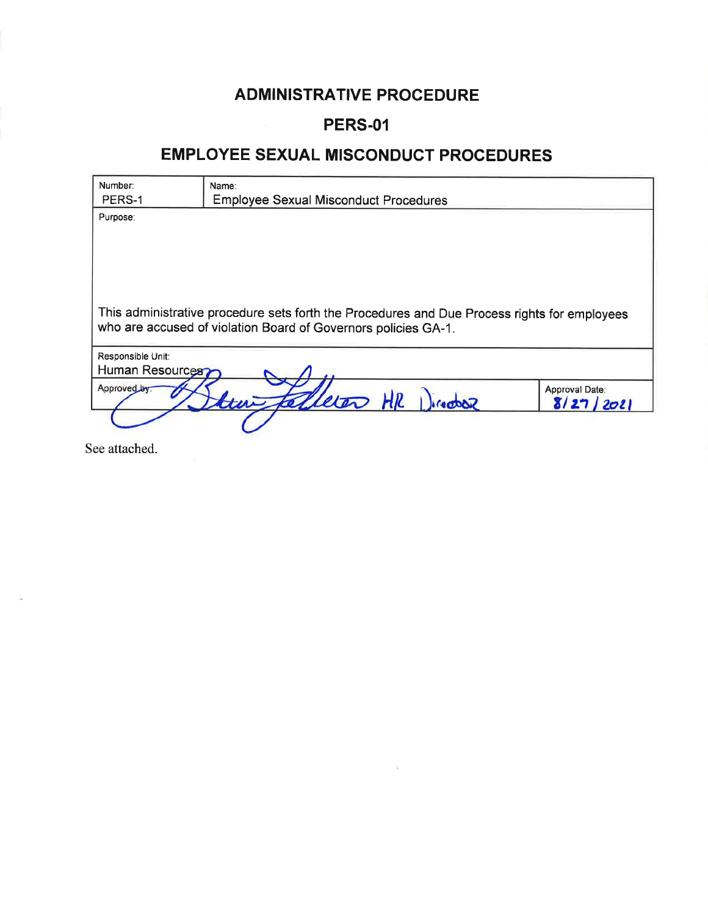## **ADMINISTRATIVE PROCEDURE**

## **PERS-01**

## **EMPLOYEE SEXUAL MISCONDUCT PROCEDURES**

| Number:                                                        | Name:                                                                                        |                |
|----------------------------------------------------------------|----------------------------------------------------------------------------------------------|----------------|
| PERS-1                                                         | <b>Employee Sexual Misconduct Procedures</b>                                                 |                |
| Purpose:                                                       |                                                                                              |                |
|                                                                |                                                                                              |                |
|                                                                |                                                                                              |                |
|                                                                |                                                                                              |                |
|                                                                |                                                                                              |                |
|                                                                |                                                                                              |                |
|                                                                | This administrative procedure sets forth the Procedures and Due Process rights for employees |                |
| who are accused of violation Board of Governors policies GA-1. |                                                                                              |                |
|                                                                |                                                                                              |                |
| Responsible Unit:                                              |                                                                                              |                |
| Human Resources?                                               |                                                                                              |                |
| Approved by:                                                   |                                                                                              | Approval Date: |
|                                                                | Eleron HR Director                                                                           | 8/27/202       |
|                                                                |                                                                                              |                |

See attached.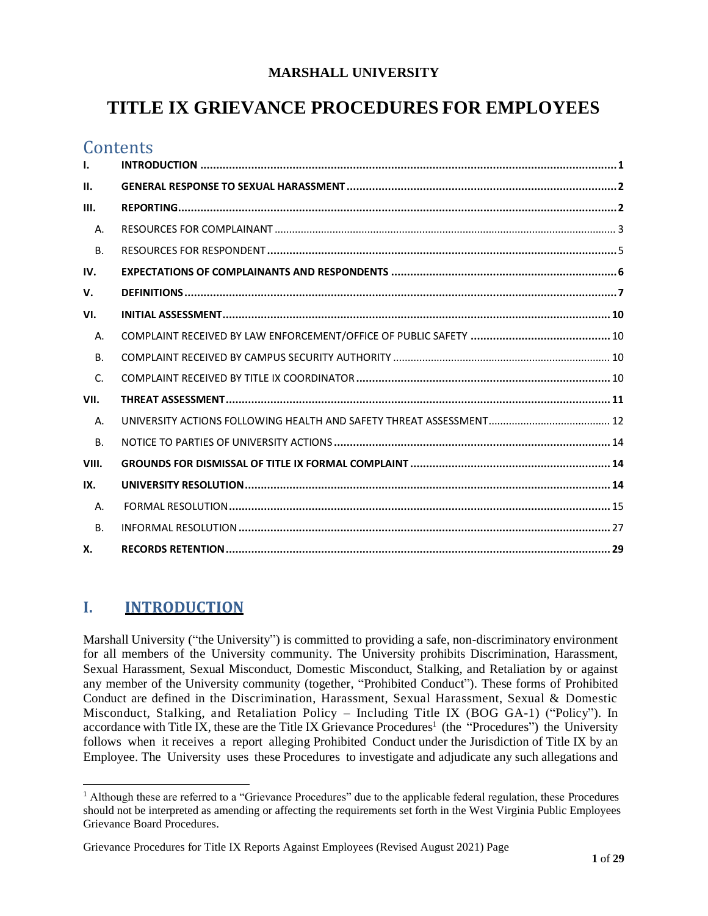### **MARSHALL UNIVERSITY**

# **TITLE IX GRIEVANCE PROCEDURES FOR EMPLOYEES**

## **Contents**

| I.           |  |
|--------------|--|
| II.          |  |
| III.         |  |
| Α.           |  |
| <b>B.</b>    |  |
| IV.          |  |
| V.           |  |
| VI.          |  |
| Α.           |  |
| <b>B.</b>    |  |
| $\mathsf{C}$ |  |
| VII.         |  |
| A.           |  |
| <b>B.</b>    |  |
| VIII.        |  |
| IX.          |  |
| Α.           |  |
| <b>B.</b>    |  |
| Х.           |  |

## <span id="page-1-0"></span>**I. INTRODUCTION**

Marshall University ("the University") is committed to providing a safe, non-discriminatory environment for all members of the University community. The University prohibits Discrimination, Harassment, Sexual Harassment, Sexual Misconduct, Domestic Misconduct, Stalking, and Retaliation by or against any member of the University community (together, "Prohibited Conduct"). These forms of Prohibited Conduct are defined in the Discrimination, Harassment, Sexual Harassment, Sexual & Domestic Misconduct, Stalking, and Retaliation Policy – Including Title IX (BOG GA-1) ("Policy"). In accordance with Title IX, these are the Title IX Grievance Procedures<sup>1</sup> (the "Procedures") the University follows when it receives a report alleging Prohibited Conduct under the Jurisdiction of Title IX by an Employee. The University uses these Procedures to investigate and adjudicate any such allegations and

 $<sup>1</sup>$  Although these are referred to a "Grievance Procedures" due to the applicable federal regulation, these Procedures</sup> should not be interpreted as amending or affecting the requirements set forth in the West Virginia Public Employees Grievance Board Procedures.

Grievance Procedures for Title IX Reports Against Employees (Revised August 2021) Page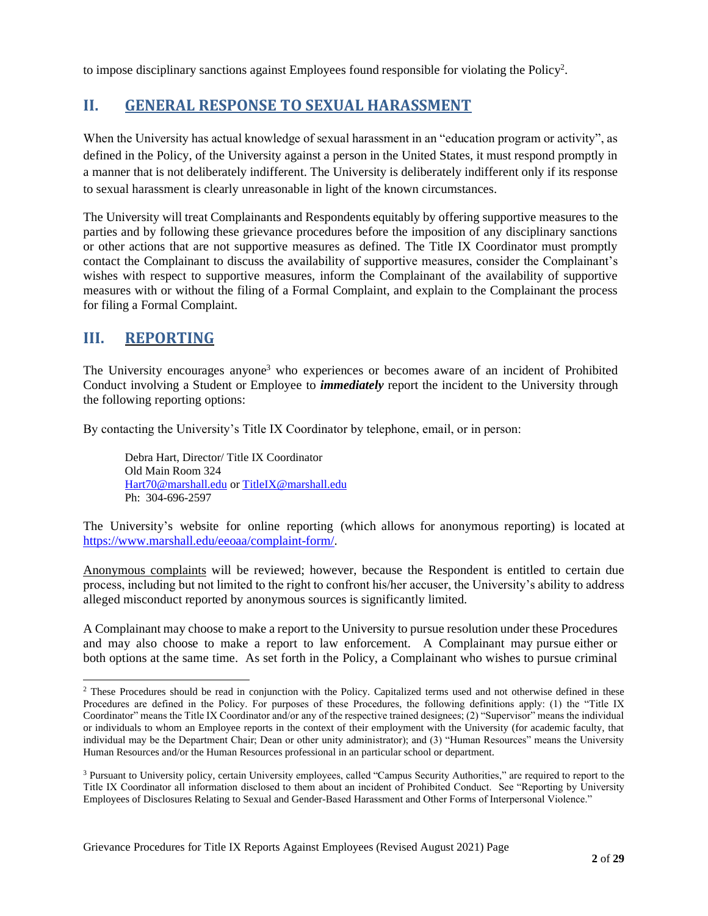<span id="page-2-0"></span>to impose disciplinary sanctions against Employees found responsible for violating the Policy<sup>2</sup>.

### **II. GENERAL RESPONSE TO SEXUAL HARASSMENT**

When the University has actual knowledge of sexual harassment in an "education program or activity", as defined in the Policy, of the University against a person in the United States, it must respond promptly in a manner that is not deliberately indifferent. The University is deliberately indifferent only if its response to sexual harassment is clearly unreasonable in light of the known circumstances.

The University will treat Complainants and Respondents equitably by offering supportive measures to the parties and by following these grievance procedures before the imposition of any disciplinary sanctions or other actions that are not supportive measures as defined. The Title IX Coordinator must promptly contact the Complainant to discuss the availability of supportive measures, consider the Complainant's wishes with respect to supportive measures, inform the Complainant of the availability of supportive measures with or without the filing of a Formal Complaint, and explain to the Complainant the process for filing a Formal Complaint.

### <span id="page-2-1"></span>**III. REPORTING**

The University encourages anyone<sup>3</sup> who experiences or becomes aware of an incident of Prohibited Conduct involving a Student or Employee to *immediately* report the incident to the University through the following reporting options:

By contacting the University's Title IX Coordinator by telephone, email, or in person:

Debra Hart, Director/ Title IX Coordinator Old Main Room 324 [Hart70@marshall.edu](mailto:Hart70@marshall.edu) o[r TitleIX@marshall.edu](mailto:TitleIX@marshall.edu) Ph: 304-696-2597

The University's website for online reporting (which allows for anonymous reporting) is located at [https://www.marshall.edu/eeoaa/complaint-form/.](https://www.marshall.edu/eeoaa/complaint-form/)

Anonymous complaints will be reviewed; however, because the Respondent is entitled to certain due process, including but not limited to the right to confront his/her accuser, the University's ability to address alleged misconduct reported by anonymous sources is significantly limited.

A Complainant may choose to make a report to the University to pursue resolution under these Procedures and may also choose to make a report to law enforcement. A Complainant may pursue either or both options at the same time. As set forth in the Policy, a Complainant who wishes to pursue criminal

<sup>&</sup>lt;sup>2</sup> These Procedures should be read in conjunction with the Policy. Capitalized terms used and not otherwise defined in these Procedures are defined in the Policy. For purposes of these Procedures, the following definitions apply: (1) the "Title IX Coordinator" means the Title IX Coordinator and/or any of the respective trained designees; (2) "Supervisor" means the individual or individuals to whom an Employee reports in the context of their employment with the University (for academic faculty, that individual may be the Department Chair; Dean or other unity administrator); and (3) "Human Resources" means the University Human Resources and/or the Human Resources professional in an particular school or department.

<sup>3</sup> Pursuant to University policy, certain University employees, called "Campus Security Authorities," are required to report to the Title IX Coordinator all information disclosed to them about an incident of Prohibited Conduct. See "Reporting by University Employees of Disclosures Relating to Sexual and Gender-Based Harassment and Other Forms of Interpersonal Violence."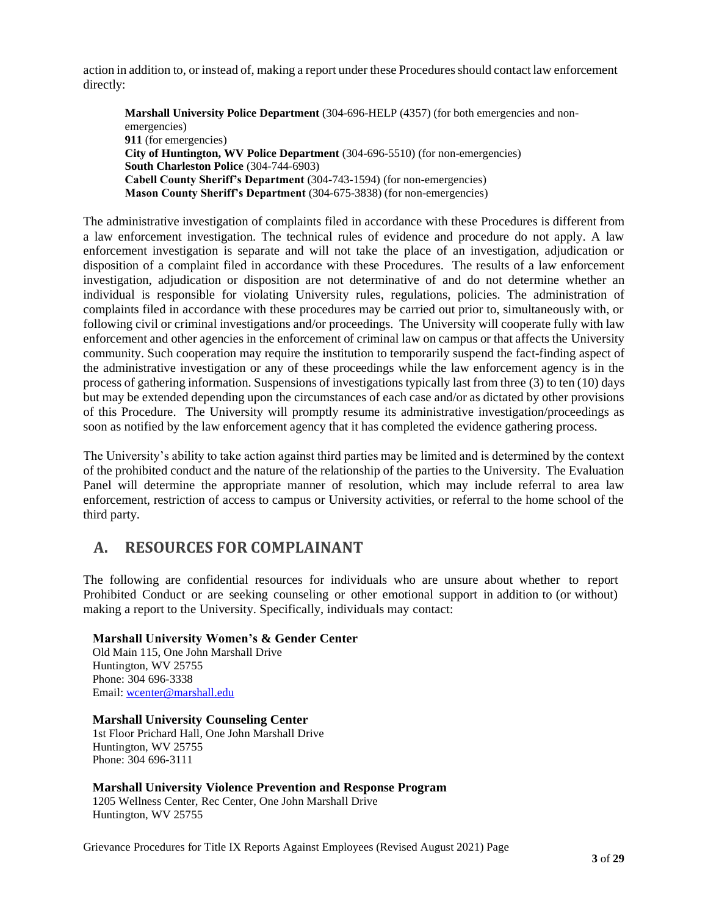action in addition to, or instead of, making a report under these Procedures should contact law enforcement directly:

**Marshall University Police Department** (304-696-HELP (4357) (for both emergencies and nonemergencies) **911** (for emergencies) **City of Huntington, WV Police Department** (304-696-5510) (for non-emergencies) **South Charleston Police** (304-744-6903) **Cabell County Sheriff's Department** (304-743-1594) (for non-emergencies) **Mason County Sheriff's Department** (304-675-3838) (for non-emergencies)

The administrative investigation of complaints filed in accordance with these Procedures is different from a law enforcement investigation. The technical rules of evidence and procedure do not apply. A law enforcement investigation is separate and will not take the place of an investigation, adjudication or disposition of a complaint filed in accordance with these Procedures. The results of a law enforcement investigation, adjudication or disposition are not determinative of and do not determine whether an individual is responsible for violating University rules, regulations, policies. The administration of complaints filed in accordance with these procedures may be carried out prior to, simultaneously with, or following civil or criminal investigations and/or proceedings. The University will cooperate fully with law enforcement and other agencies in the enforcement of criminal law on campus or that affects the University community. Such cooperation may require the institution to temporarily suspend the fact-finding aspect of the administrative investigation or any of these proceedings while the law enforcement agency is in the process of gathering information. Suspensions of investigations typically last from three (3) to ten (10) days but may be extended depending upon the circumstances of each case and/or as dictated by other provisions of this Procedure. The University will promptly resume its administrative investigation/proceedings as soon as notified by the law enforcement agency that it has completed the evidence gathering process.

The University's ability to take action against third parties may be limited and is determined by the context of the prohibited conduct and the nature of the relationship of the parties to the University. The Evaluation Panel will determine the appropriate manner of resolution, which may include referral to area law enforcement, restriction of access to campus or University activities, or referral to the home school of the third party.

### <span id="page-3-0"></span>**A. RESOURCES FOR COMPLAINANT**

The following are confidential resources for individuals who are unsure about whether to report Prohibited Conduct or are seeking counseling or other emotional support in addition to (or without) making a report to the University. Specifically, individuals may contact:

#### **Marshall University Women's & Gender Center**

Old Main 115, One John Marshall Drive Huntington, WV 25755 Phone: 304 696-3338 Email: [wcenter@marshall.edu](mailto:wcenter@marshall.edu)

#### **Marshall University Counseling Center**

1st Floor Prichard Hall, One John Marshall Drive Huntington, WV 25755 Phone: 304 696-3111

**Marshall University Violence Prevention and Response Program** 1205 Wellness Center, Rec Center, One John Marshall Drive Huntington, WV 25755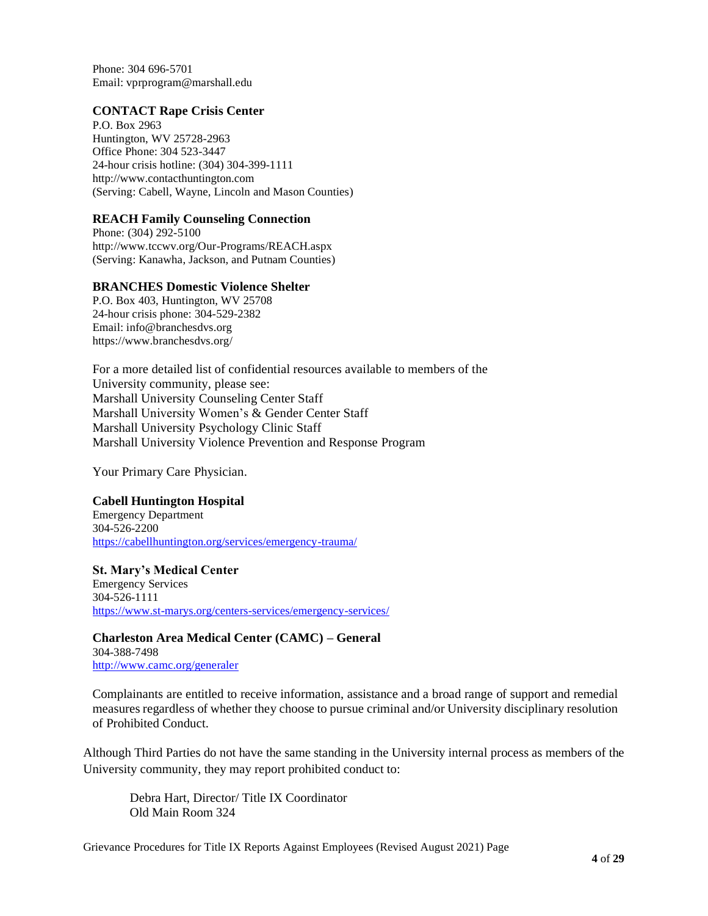Phone: 304 696-5701 Email: vprprogram@marshall.edu

#### **CONTACT Rape Crisis Center**

P.O. Box 2963 Huntington, WV 25728-2963 Office Phone: 304 523-3447 24-hour crisis hotline: (304) 304-399-1111 http://www.contacthuntington.com (Serving: Cabell, Wayne, Lincoln and Mason Counties)

#### **REACH Family Counseling Connection**

Phone: (304) 292-5100 http://www.tccwv.org/Our-Programs/REACH.aspx (Serving: Kanawha, Jackson, and Putnam Counties)

#### **BRANCHES Domestic Violence Shelter**

P.O. Box 403, Huntington, WV 25708 24-hour crisis phone: 304-529-2382 Email: info@branchesdvs.org https://www.branchesdvs.org/

For a more detailed list of confidential resources available to members of the University community, please see: Marshall University Counseling Center Staff Marshall University Women's & Gender Center Staff Marshall University Psychology Clinic Staff Marshall University Violence Prevention and Response Program

Your Primary Care Physician.

#### **Cabell Huntington Hospital**

Emergency Department 304-526-2200 <https://cabellhuntington.org/services/emergency-trauma/>

**St. Mary's Medical Center** Emergency Services 304-526-1111 <https://www.st-marys.org/centers-services/emergency-services/>

**Charleston Area Medical Center (CAMC) – General** 304-388-7498 <http://www.camc.org/generaler>

Complainants are entitled to receive information, assistance and a broad range of support and remedial measures regardless of whether they choose to pursue criminal and/or University disciplinary resolution of Prohibited Conduct.

Although Third Parties do not have the same standing in the University internal process as members of the University community, they may report prohibited conduct to:

Debra Hart, Director/ Title IX Coordinator Old Main Room 324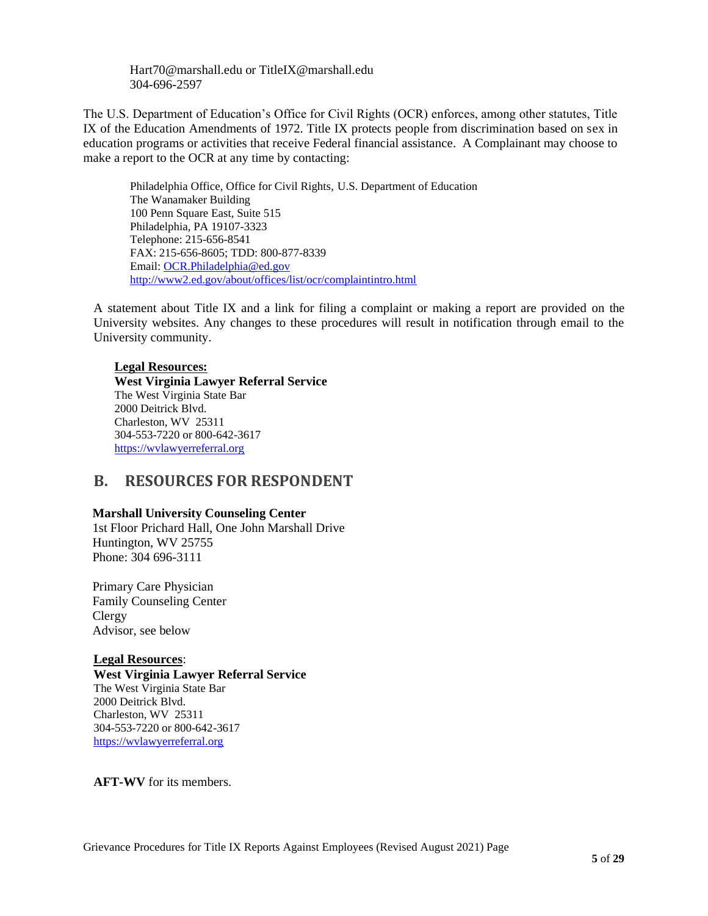Hart70@marshall.edu or TitleIX@marshall.edu 304-696-2597

The U.S. Department of Education's Office for Civil Rights (OCR) enforces, among other statutes, Title IX of the Education Amendments of 1972. Title IX protects people from discrimination based on sex in education programs or activities that receive Federal financial assistance. A Complainant may choose to make a report to the OCR at any time by contacting:

Philadelphia Office, Office for Civil Rights, U.S. Department of Education The Wanamaker Building 100 Penn Square East, Suite 515 Philadelphia, PA 19107-3323 Telephone: 215-656-8541 FAX: 215-656-8605; TDD: 800-877-8339 Email: [OCR.Philadelphia@ed.gov](mailto:OCR.Philadelphia@ed.gov) <http://www2.ed.gov/about/offices/list/ocr/complaintintro.html>

A statement about Title IX and a link for filing a complaint or making a report are provided on the University websites. Any changes to these procedures will result in notification through email to the University community.

#### **Legal Resources:**

**West Virginia Lawyer Referral Service** The West Virginia State Bar 2000 Deitrick Blvd. Charleston, WV 25311 304-553-7220 or 800-642-3617 [https://wvlawyerreferral.org](https://wvlawyerreferral.org/)

### <span id="page-5-0"></span>**B. RESOURCES FOR RESPONDENT**

#### **Marshall University Counseling Center**

1st Floor Prichard Hall, One John Marshall Drive Huntington, WV 25755 Phone: 304 696-3111

Primary Care Physician Family Counseling Center Clergy Advisor, see below

#### **Legal Resources**:

**West Virginia Lawyer Referral Service** The West Virginia State Bar 2000 Deitrick Blvd. Charleston, WV 25311 304-553-7220 or 800-642-3617 [https://wvlawyerreferral.org](https://wvlawyerreferral.org/)

**AFT-WV** for its members.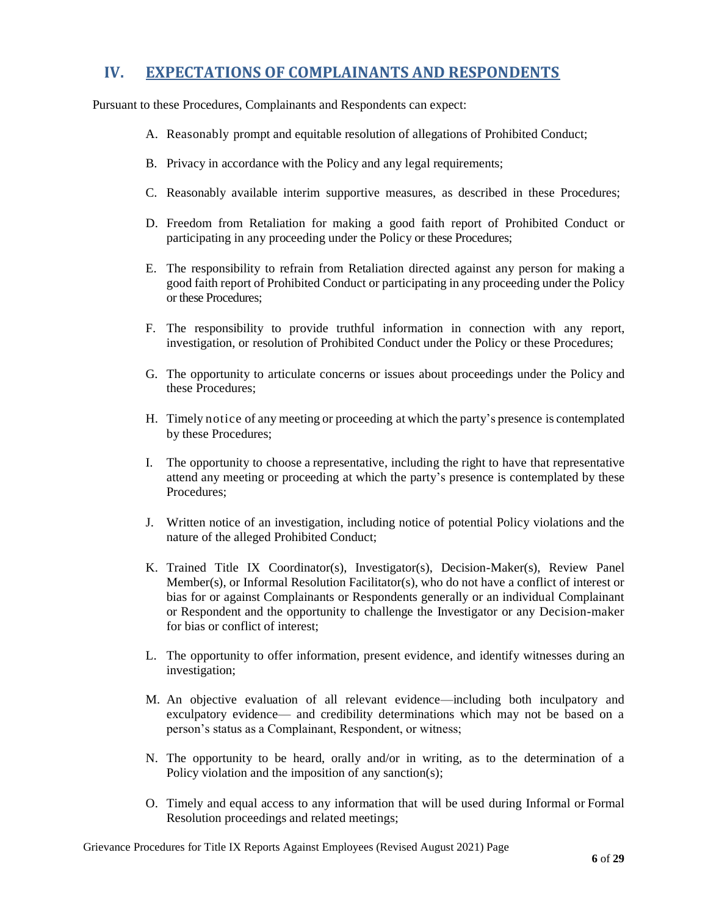### <span id="page-6-0"></span>**IV. EXPECTATIONS OF COMPLAINANTS AND RESPONDENTS**

Pursuant to these Procedures, Complainants and Respondents can expect:

- A. Reasonably prompt and equitable resolution of allegations of Prohibited Conduct;
- B. Privacy in accordance with the Policy and any legal requirements;
- C. Reasonably available interim supportive measures, as described in these Procedures;
- D. Freedom from Retaliation for making a good faith report of Prohibited Conduct or participating in any proceeding under the Policy or these Procedures;
- E. The responsibility to refrain from Retaliation directed against any person for making a good faith report of Prohibited Conduct or participating in any proceeding under the Policy or these Procedures;
- F. The responsibility to provide truthful information in connection with any report, investigation, or resolution of Prohibited Conduct under the Policy or these Procedures;
- G. The opportunity to articulate concerns or issues about proceedings under the Policy and these Procedures;
- H. Timely notice of any meeting or proceeding at which the party's presence is contemplated by these Procedures;
- I. The opportunity to choose a representative, including the right to have that representative attend any meeting or proceeding at which the party's presence is contemplated by these Procedures;
- J. Written notice of an investigation, including notice of potential Policy violations and the nature of the alleged Prohibited Conduct;
- K. Trained Title IX Coordinator(s), Investigator(s), Decision-Maker(s), Review Panel Member(s), or Informal Resolution Facilitator(s), who do not have a conflict of interest or bias for or against Complainants or Respondents generally or an individual Complainant or Respondent and the opportunity to challenge the Investigator or any Decision-maker for bias or conflict of interest;
- L. The opportunity to offer information, present evidence, and identify witnesses during an investigation;
- M. An objective evaluation of all relevant evidence—including both inculpatory and exculpatory evidence— and credibility determinations which may not be based on a person's status as a Complainant, Respondent, or witness;
- N. The opportunity to be heard, orally and/or in writing, as to the determination of a Policy violation and the imposition of any sanction(s);
- O. Timely and equal access to any information that will be used during Informal or Formal Resolution proceedings and related meetings;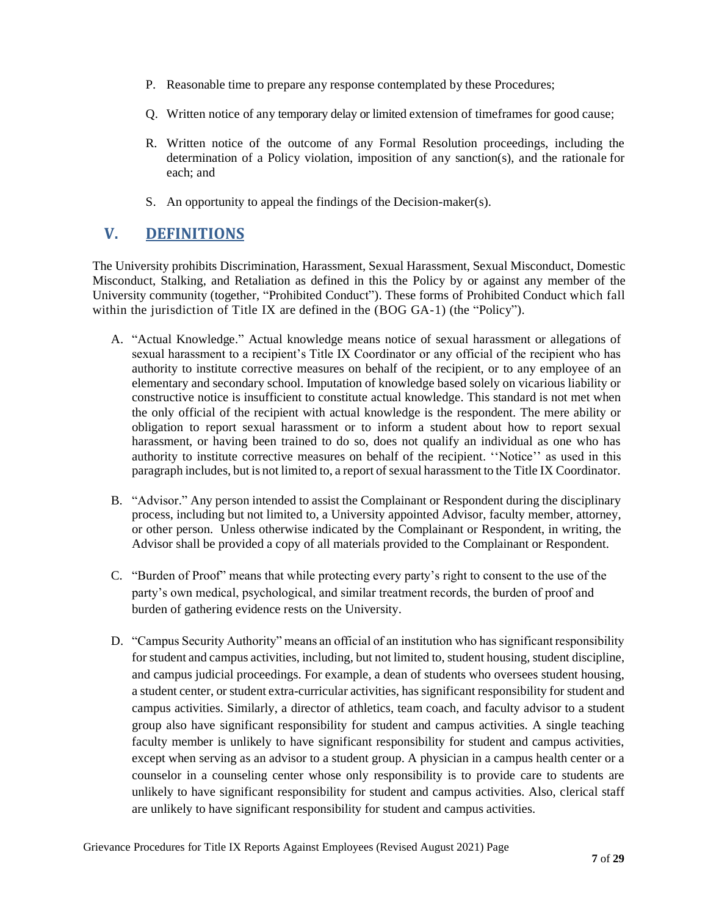- P. Reasonable time to prepare any response contemplated by these Procedures;
- Q. Written notice of any temporary delay or limited extension of timeframes for good cause;
- R. Written notice of the outcome of any Formal Resolution proceedings, including the determination of a Policy violation, imposition of any sanction(s), and the rationale for each; and
- S. An opportunity to appeal the findings of the Decision-maker(s).

## <span id="page-7-0"></span>**V. DEFINITIONS**

The University prohibits Discrimination, Harassment, Sexual Harassment, Sexual Misconduct, Domestic Misconduct, Stalking, and Retaliation as defined in this the Policy by or against any member of the University community (together, "Prohibited Conduct"). These forms of Prohibited Conduct which fall within the jurisdiction of Title IX are defined in the (BOG GA-1) (the "Policy").

- A. "Actual Knowledge." Actual knowledge means notice of sexual harassment or allegations of sexual harassment to a recipient's Title IX Coordinator or any official of the recipient who has authority to institute corrective measures on behalf of the recipient, or to any employee of an elementary and secondary school. Imputation of knowledge based solely on vicarious liability or constructive notice is insufficient to constitute actual knowledge. This standard is not met when the only official of the recipient with actual knowledge is the respondent. The mere ability or obligation to report sexual harassment or to inform a student about how to report sexual harassment, or having been trained to do so, does not qualify an individual as one who has authority to institute corrective measures on behalf of the recipient. ''Notice'' as used in this paragraph includes, but is not limited to, a report of sexual harassment to the Title IX Coordinator.
- B. "Advisor." Any person intended to assist the Complainant or Respondent during the disciplinary process, including but not limited to, a University appointed Advisor, faculty member, attorney, or other person. Unless otherwise indicated by the Complainant or Respondent, in writing, the Advisor shall be provided a copy of all materials provided to the Complainant or Respondent.
- C. "Burden of Proof" means that while protecting every party's right to consent to the use of the party's own medical, psychological, and similar treatment records, the burden of proof and burden of gathering evidence rests on the University.
- D. "Campus Security Authority" means an official of an institution who has significant responsibility for student and campus activities, including, but not limited to, student housing, student discipline, and campus judicial proceedings. For example, a dean of students who oversees student housing, a student center, or student extra-curricular activities, has significant responsibility for student and campus activities. Similarly, a director of athletics, team coach, and faculty advisor to a student group also have significant responsibility for student and campus activities. A single teaching faculty member is unlikely to have significant responsibility for student and campus activities, except when serving as an advisor to a student group. A physician in a campus health center or a counselor in a counseling center whose only responsibility is to provide care to students are unlikely to have significant responsibility for student and campus activities. Also, clerical staff are unlikely to have significant responsibility for student and campus activities.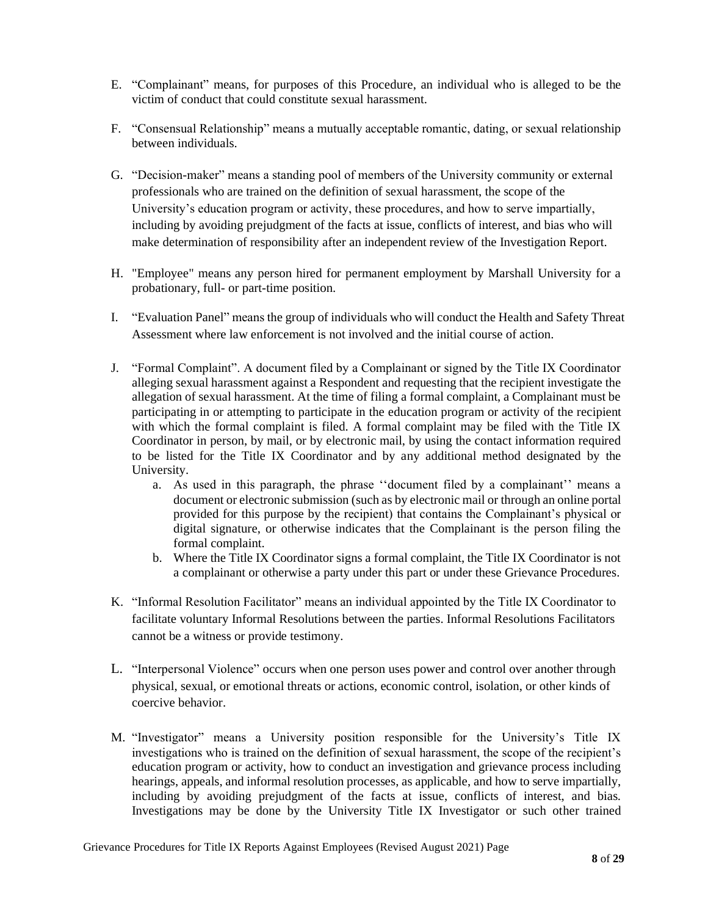- E. "Complainant" means, for purposes of this Procedure, an individual who is alleged to be the victim of conduct that could constitute sexual harassment.
- F. "Consensual Relationship" means a mutually acceptable romantic, dating, or sexual relationship between individuals.
- G. "Decision-maker" means a standing pool of members of the University community or external professionals who are trained on the definition of sexual harassment, the scope of the University's education program or activity, these procedures, and how to serve impartially, including by avoiding prejudgment of the facts at issue, conflicts of interest, and bias who will make determination of responsibility after an independent review of the Investigation Report.
- H. "Employee" means any person hired for permanent employment by Marshall University for a probationary, full- or part-time position.
- I. "Evaluation Panel" means the group of individuals who will conduct the Health and Safety Threat Assessment where law enforcement is not involved and the initial course of action.
- J. "Formal Complaint". A document filed by a Complainant or signed by the Title IX Coordinator alleging sexual harassment against a Respondent and requesting that the recipient investigate the allegation of sexual harassment. At the time of filing a formal complaint, a Complainant must be participating in or attempting to participate in the education program or activity of the recipient with which the formal complaint is filed. A formal complaint may be filed with the Title IX Coordinator in person, by mail, or by electronic mail, by using the contact information required to be listed for the Title IX Coordinator and by any additional method designated by the University.
	- a. As used in this paragraph, the phrase ''document filed by a complainant'' means a document or electronic submission (such as by electronic mail or through an online portal provided for this purpose by the recipient) that contains the Complainant's physical or digital signature, or otherwise indicates that the Complainant is the person filing the formal complaint.
	- b. Where the Title IX Coordinator signs a formal complaint, the Title IX Coordinator is not a complainant or otherwise a party under this part or under these Grievance Procedures.
- K. "Informal Resolution Facilitator" means an individual appointed by the Title IX Coordinator to facilitate voluntary Informal Resolutions between the parties. Informal Resolutions Facilitators cannot be a witness or provide testimony.
- L. "Interpersonal Violence" occurs when one person uses power and control over another through physical, sexual, or emotional threats or actions, economic control, isolation, or other kinds of coercive behavior.
- M. "Investigator" means a University position responsible for the University's Title IX investigations who is trained on the definition of sexual harassment, the scope of the recipient's education program or activity, how to conduct an investigation and grievance process including hearings, appeals, and informal resolution processes, as applicable, and how to serve impartially, including by avoiding prejudgment of the facts at issue, conflicts of interest, and bias. Investigations may be done by the University Title IX Investigator or such other trained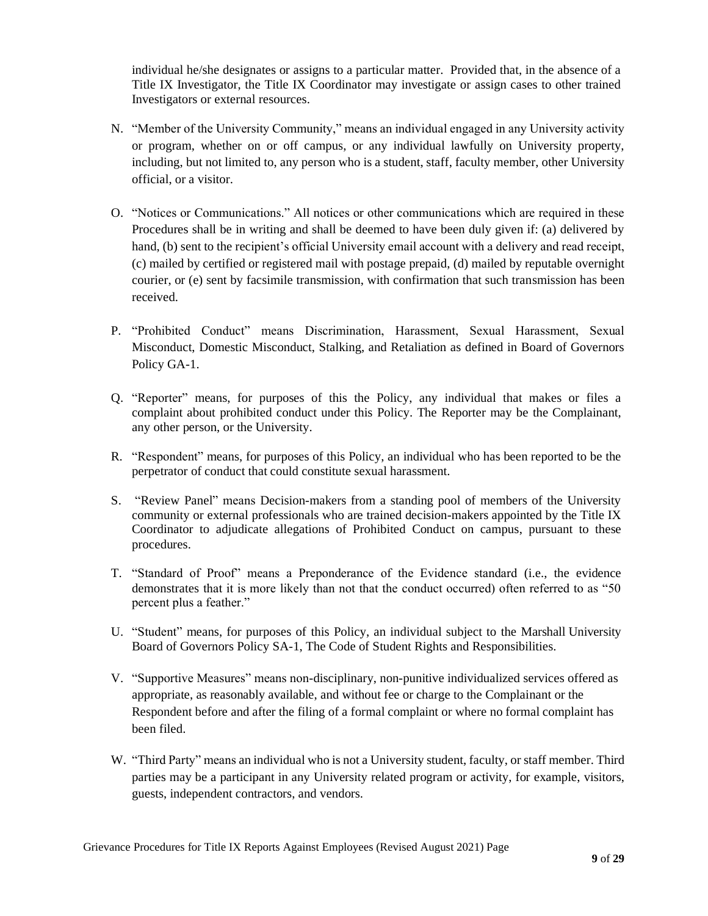individual he/she designates or assigns to a particular matter. Provided that, in the absence of a Title IX Investigator, the Title IX Coordinator may investigate or assign cases to other trained Investigators or external resources.

- N. "Member of the University Community," means an individual engaged in any University activity or program, whether on or off campus, or any individual lawfully on University property, including, but not limited to, any person who is a student, staff, faculty member, other University official, or a visitor.
- O. "Notices or Communications." All notices or other communications which are required in these Procedures shall be in writing and shall be deemed to have been duly given if: (a) delivered by hand, (b) sent to the recipient's official University email account with a delivery and read receipt, (c) mailed by certified or registered mail with postage prepaid, (d) mailed by reputable overnight courier, or (e) sent by facsimile transmission, with confirmation that such transmission has been received.
- P. "Prohibited Conduct" means Discrimination, Harassment, Sexual Harassment, Sexual Misconduct, Domestic Misconduct, Stalking, and Retaliation as defined in Board of Governors Policy GA-1.
- Q. "Reporter" means, for purposes of this the Policy, any individual that makes or files a complaint about prohibited conduct under this Policy. The Reporter may be the Complainant, any other person, or the University.
- R. "Respondent" means, for purposes of this Policy, an individual who has been reported to be the perpetrator of conduct that could constitute sexual harassment.
- S. "Review Panel" means Decision-makers from a standing pool of members of the University community or external professionals who are trained decision-makers appointed by the Title IX Coordinator to adjudicate allegations of Prohibited Conduct on campus, pursuant to these procedures.
- T. "Standard of Proof" means a Preponderance of the Evidence standard (i.e., the evidence demonstrates that it is more likely than not that the conduct occurred) often referred to as "50 percent plus a feather."
- U. "Student" means, for purposes of this Policy, an individual subject to the Marshall University Board of Governors Policy SA-1, The Code of Student Rights and Responsibilities.
- V. "Supportive Measures" means non-disciplinary, non-punitive individualized services offered as appropriate, as reasonably available, and without fee or charge to the Complainant or the Respondent before and after the filing of a formal complaint or where no formal complaint has been filed.
- W. "Third Party" means an individual who is not a University student, faculty, or staff member. Third parties may be a participant in any University related program or activity, for example, visitors, guests, independent contractors, and vendors.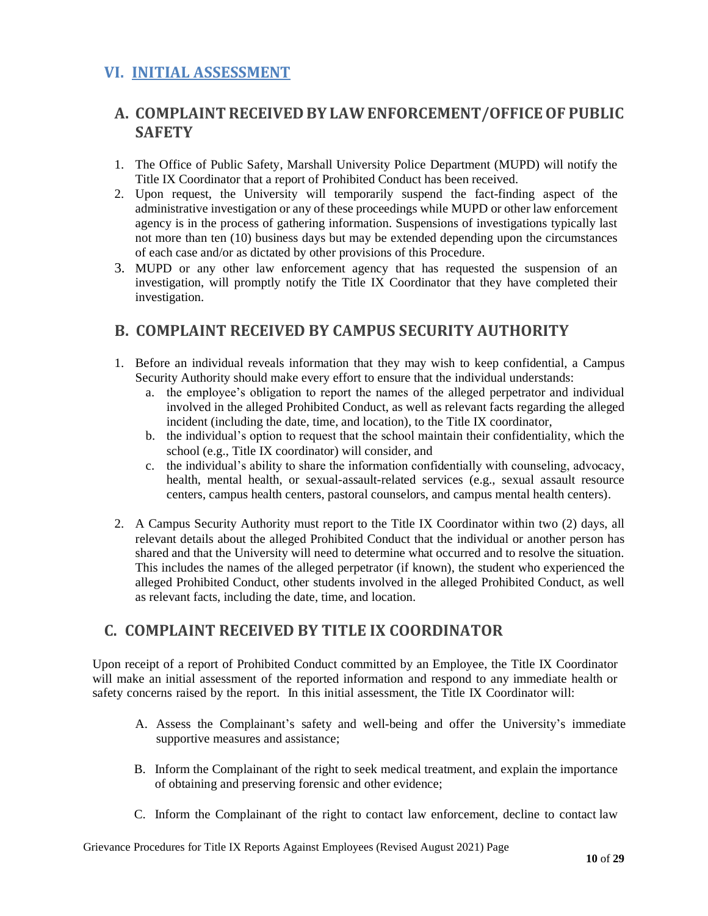### <span id="page-10-0"></span>**VI. INITIAL ASSESSMENT**

## <span id="page-10-1"></span>**A. COMPLAINT RECEIVED BY LAW ENFORCEMENT/OFFICE OF PUBLIC SAFETY**

- 1. The Office of Public Safety, Marshall University Police Department (MUPD) will notify the Title IX Coordinator that a report of Prohibited Conduct has been received.
- 2. Upon request, the University will temporarily suspend the fact-finding aspect of the administrative investigation or any of these proceedings while MUPD or other law enforcement agency is in the process of gathering information. Suspensions of investigations typically last not more than ten (10) business days but may be extended depending upon the circumstances of each case and/or as dictated by other provisions of this Procedure.
- 3. MUPD or any other law enforcement agency that has requested the suspension of an investigation, will promptly notify the Title IX Coordinator that they have completed their investigation.

### <span id="page-10-2"></span>**B. COMPLAINT RECEIVED BY CAMPUS SECURITY AUTHORITY**

- 1. Before an individual reveals information that they may wish to keep confidential, a Campus Security Authority should make every effort to ensure that the individual understands:
	- a. the employee's obligation to report the names of the alleged perpetrator and individual involved in the alleged Prohibited Conduct, as well as relevant facts regarding the alleged incident (including the date, time, and location), to the Title IX coordinator,
	- b. the individual's option to request that the school maintain their confidentiality, which the school (e.g., Title IX coordinator) will consider, and
	- c. the individual's ability to share the information confidentially with counseling, advocacy, health, mental health, or sexual-assault-related services (e.g., sexual assault resource centers, campus health centers, pastoral counselors, and campus mental health centers).
- 2. A Campus Security Authority must report to the Title IX Coordinator within two (2) days, all relevant details about the alleged Prohibited Conduct that the individual or another person has shared and that the University will need to determine what occurred and to resolve the situation. This includes the names of the alleged perpetrator (if known), the student who experienced the alleged Prohibited Conduct, other students involved in the alleged Prohibited Conduct, as well as relevant facts, including the date, time, and location.

### <span id="page-10-3"></span>**C. COMPLAINT RECEIVED BY TITLE IX COORDINATOR**

Upon receipt of a report of Prohibited Conduct committed by an Employee, the Title IX Coordinator will make an initial assessment of the reported information and respond to any immediate health or safety concerns raised by the report. In this initial assessment, the Title IX Coordinator will:

- A. Assess the Complainant's safety and well-being and offer the University's immediate supportive measures and assistance;
- B. Inform the Complainant of the right to seek medical treatment, and explain the importance of obtaining and preserving forensic and other evidence;
- C. Inform the Complainant of the right to contact law enforcement, decline to contact law

Grievance Procedures for Title IX Reports Against Employees (Revised August 2021) Page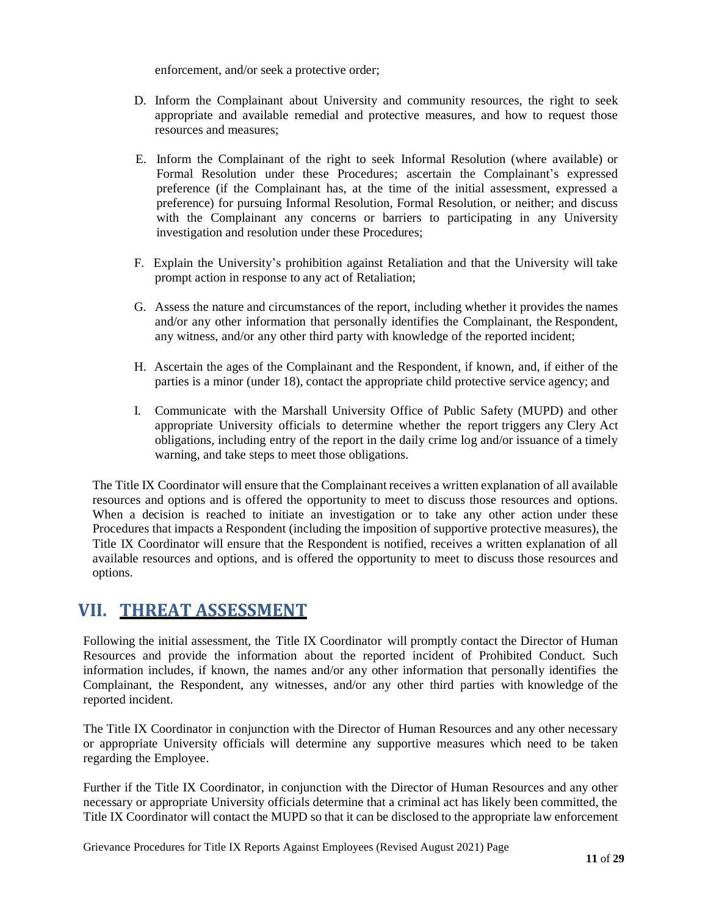enforcement, and/or seek a protective order;

- D. Inform the Complainant about University and community resources, the right to seek appropriate and available remedial and protective measures, and how to request those resources and measures;
- E. Inform the Complainant of the right to seek Informal Resolution (where available) or Formal Resolution under these Procedures; ascertain the Complainant's expressed preference (if the Complainant has, at the time of the initial assessment, expressed a preference) for pursuing Informal Resolution, Formal Resolution, or neither; and discuss with the Complainant any concerns or barriers to participating in any University investigation and resolution under these Procedures;
- F. Explain the University's prohibition against Retaliation and that the University will take prompt action in response to any act of Retaliation;
- G. Assess the nature and circumstances of the report, including whether it provides the names and/or any other information that personally identifies the Complainant, the Respondent, any witness, and/or any other third party with knowledge of the reported incident;
- H. Ascertain the ages of the Complainant and the Respondent, if known, and, if either of the parties is a minor (under 18), contact the appropriate child protective service agency; and
- I. Communicate with the Marshall University Office of Public Safety (MUPD) and other appropriate University officials to determine whether the report triggers any Clery Act obligations, including entry of the report in the daily crime log and/or issuance of a timely warning, and take steps to meet those obligations.

The Title IX Coordinator will ensure that the Complainant receives a written explanation of all available resources and options and is offered the opportunity to meet to discuss those resources and options. When a decision is reached to initiate an investigation or to take any other action under these Procedures that impacts a Respondent (including the imposition of supportive protective measures), the Title IX Coordinator will ensure that the Respondent is notified, receives a written explanation of all available resources and options, and is offered the opportunity to meet to discuss those resources and options.

## <span id="page-11-0"></span>**VII. THREAT ASSESSMENT**

Following the initial assessment, the Title IX Coordinator will promptly contact the Director of Human Resources and provide the information about the reported incident of Prohibited Conduct. Such information includes, if known, the names and/or any other information that personally identifies the Complainant, the Respondent, any witnesses, and/or any other third parties with knowledge of the reported incident.

The Title IX Coordinator in conjunction with the Director of Human Resources and any other necessary or appropriate University officials will determine any supportive measures which need to be taken regarding the Employee.

Further if the Title IX Coordinator, in conjunction with the Director of Human Resources and any other necessary or appropriate University officials determine that a criminal act has likely been committed, the Title IX Coordinator will contact the MUPD so that it can be disclosed to the appropriate law enforcement

Grievance Procedures for Title IX Reports Against Employees (Revised August 2021) Page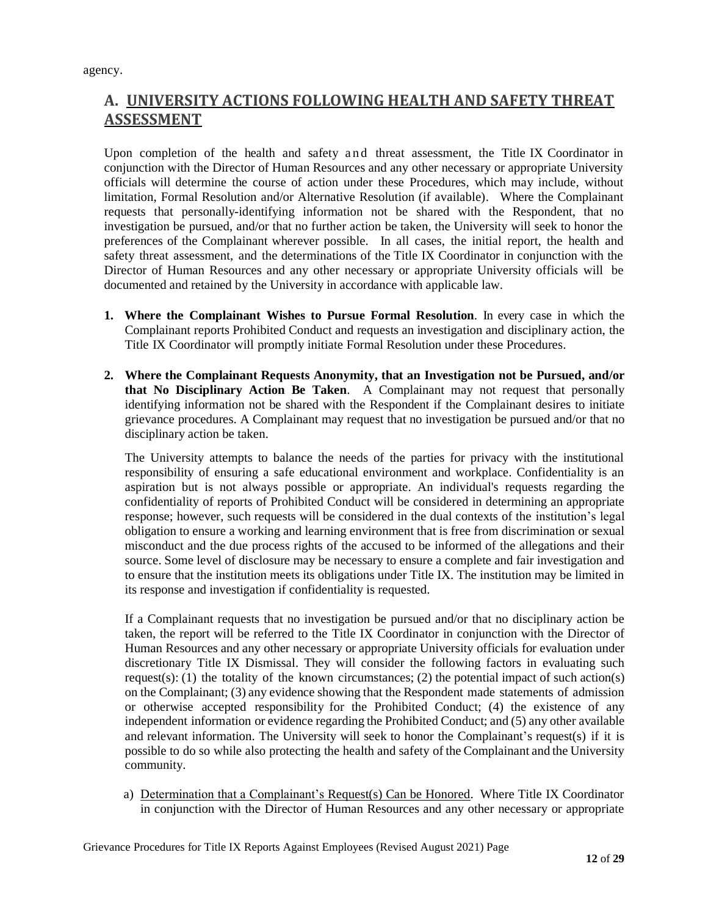agency.

## <span id="page-12-0"></span>**A. UNIVERSITY ACTIONS FOLLOWING HEALTH AND SAFETY THREAT ASSESSMENT**

Upon completion of the health and safety and threat assessment, the Title IX Coordinator in conjunction with the Director of Human Resources and any other necessary or appropriate University officials will determine the course of action under these Procedures, which may include, without limitation, Formal Resolution and/or Alternative Resolution (if available). Where the Complainant requests that personally-identifying information not be shared with the Respondent, that no investigation be pursued, and/or that no further action be taken, the University will seek to honor the preferences of the Complainant wherever possible. In all cases, the initial report, the health and safety threat assessment, and the determinations of the Title IX Coordinator in conjunction with the Director of Human Resources and any other necessary or appropriate University officials will be documented and retained by the University in accordance with applicable law.

- **1. Where the Complainant Wishes to Pursue Formal Resolution**. In every case in which the Complainant reports Prohibited Conduct and requests an investigation and disciplinary action, the Title IX Coordinator will promptly initiate Formal Resolution under these Procedures.
- **2. Where the Complainant Requests Anonymity, that an Investigation not be Pursued, and/or that No Disciplinary Action Be Taken**. A Complainant may not request that personally identifying information not be shared with the Respondent if the Complainant desires to initiate grievance procedures. A Complainant may request that no investigation be pursued and/or that no disciplinary action be taken.

The University attempts to balance the needs of the parties for privacy with the institutional responsibility of ensuring a safe educational environment and workplace. Confidentiality is an aspiration but is not always possible or appropriate. An individual's requests regarding the confidentiality of reports of Prohibited Conduct will be considered in determining an appropriate response; however, such requests will be considered in the dual contexts of the institution's legal obligation to ensure a working and learning environment that is free from discrimination or sexual misconduct and the due process rights of the accused to be informed of the allegations and their source. Some level of disclosure may be necessary to ensure a complete and fair investigation and to ensure that the institution meets its obligations under Title IX. The institution may be limited in its response and investigation if confidentiality is requested.

If a Complainant requests that no investigation be pursued and/or that no disciplinary action be taken, the report will be referred to the Title IX Coordinator in conjunction with the Director of Human Resources and any other necessary or appropriate University officials for evaluation under discretionary Title IX Dismissal. They will consider the following factors in evaluating such request(s): (1) the totality of the known circumstances; (2) the potential impact of such action(s) on the Complainant; (3) any evidence showing that the Respondent made statements of admission or otherwise accepted responsibility for the Prohibited Conduct; (4) the existence of any independent information or evidence regarding the Prohibited Conduct; and (5) any other available and relevant information. The University will seek to honor the Complainant's request(s) if it is possible to do so while also protecting the health and safety of the Complainant and the University community.

a) Determination that a Complainant's Request(s) Can be Honored. Where Title IX Coordinator in conjunction with the Director of Human Resources and any other necessary or appropriate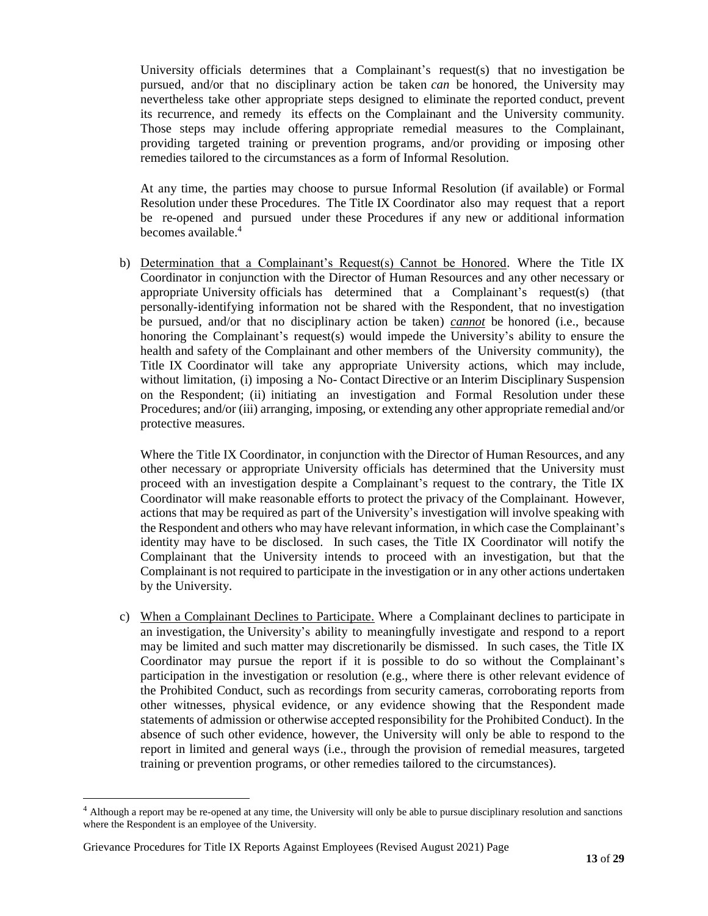University officials determines that a Complainant's request(s) that no investigation be pursued, and/or that no disciplinary action be taken *can* be honored, the University may nevertheless take other appropriate steps designed to eliminate the reported conduct, prevent its recurrence, and remedy its effects on the Complainant and the University community. Those steps may include offering appropriate remedial measures to the Complainant, providing targeted training or prevention programs, and/or providing or imposing other remedies tailored to the circumstances as a form of Informal Resolution.

At any time, the parties may choose to pursue Informal Resolution (if available) or Formal Resolution under these Procedures. The Title IX Coordinator also may request that a report be re-opened and pursued under these Procedures if any new or additional information becomes available. 4

b) Determination that a Complainant's Request(s) Cannot be Honored. Where the Title IX Coordinator in conjunction with the Director of Human Resources and any other necessary or appropriate University officials has determined that a Complainant's request(s) (that personally-identifying information not be shared with the Respondent, that no investigation be pursued, and/or that no disciplinary action be taken) *cannot* be honored (i.e., because honoring the Complainant's request(s) would impede the University's ability to ensure the health and safety of the Complainant and other members of the University community), the Title IX Coordinator will take any appropriate University actions, which may include, without limitation, (i) imposing a No- Contact Directive or an Interim Disciplinary Suspension on the Respondent; (ii) initiating an investigation and Formal Resolution under these Procedures; and/or (iii) arranging, imposing, or extending any other appropriate remedial and/or protective measures.

Where the Title IX Coordinator, in conjunction with the Director of Human Resources, and any other necessary or appropriate University officials has determined that the University must proceed with an investigation despite a Complainant's request to the contrary, the Title IX Coordinator will make reasonable efforts to protect the privacy of the Complainant. However, actions that may be required as part of the University's investigation will involve speaking with the Respondent and others who may have relevant information, in which case the Complainant's identity may have to be disclosed. In such cases, the Title IX Coordinator will notify the Complainant that the University intends to proceed with an investigation, but that the Complainant is not required to participate in the investigation or in any other actions undertaken by the University.

c) When a Complainant Declines to Participate. Where a Complainant declines to participate in an investigation, the University's ability to meaningfully investigate and respond to a report may be limited and such matter may discretionarily be dismissed. In such cases, the Title IX Coordinator may pursue the report if it is possible to do so without the Complainant's participation in the investigation or resolution (e.g., where there is other relevant evidence of the Prohibited Conduct, such as recordings from security cameras, corroborating reports from other witnesses, physical evidence, or any evidence showing that the Respondent made statements of admission or otherwise accepted responsibility for the Prohibited Conduct). In the absence of such other evidence, however, the University will only be able to respond to the report in limited and general ways (i.e., through the provision of remedial measures, targeted training or prevention programs, or other remedies tailored to the circumstances).

<sup>&</sup>lt;sup>4</sup> Although a report may be re-opened at any time, the University will only be able to pursue disciplinary resolution and sanctions where the Respondent is an employee of the University.

Grievance Procedures for Title IX Reports Against Employees (Revised August 2021) Page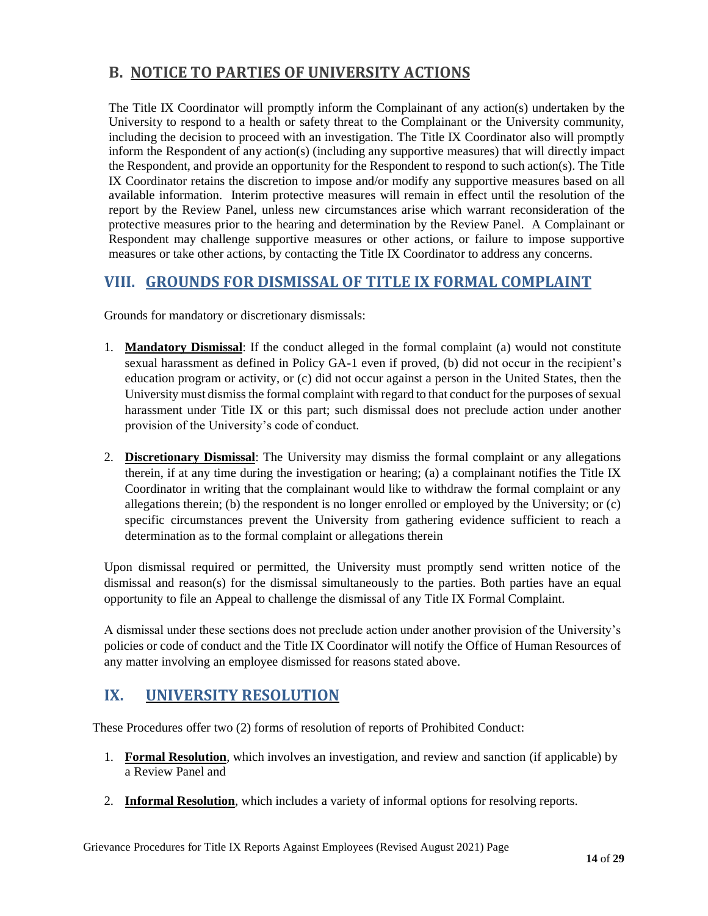## <span id="page-14-0"></span>**B. NOTICE TO PARTIES OF UNIVERSITY ACTIONS**

The Title IX Coordinator will promptly inform the Complainant of any action(s) undertaken by the University to respond to a health or safety threat to the Complainant or the University community, including the decision to proceed with an investigation. The Title IX Coordinator also will promptly inform the Respondent of any action(s) (including any supportive measures) that will directly impact the Respondent, and provide an opportunity for the Respondent to respond to such action(s). The Title IX Coordinator retains the discretion to impose and/or modify any supportive measures based on all available information. Interim protective measures will remain in effect until the resolution of the report by the Review Panel, unless new circumstances arise which warrant reconsideration of the protective measures prior to the hearing and determination by the Review Panel. A Complainant or Respondent may challenge supportive measures or other actions, or failure to impose supportive measures or take other actions, by contacting the Title IX Coordinator to address any concerns.

### <span id="page-14-1"></span>**VIII. GROUNDS FOR DISMISSAL OF TITLE IX FORMAL COMPLAINT**

Grounds for mandatory or discretionary dismissals:

- 1. **Mandatory Dismissal**: If the conduct alleged in the formal complaint (a) would not constitute sexual harassment as defined in Policy GA-1 even if proved, (b) did not occur in the recipient's education program or activity, or (c) did not occur against a person in the United States, then the University must dismiss the formal complaint with regard to that conduct for the purposes of sexual harassment under Title IX or this part; such dismissal does not preclude action under another provision of the University's code of conduct.
- 2. **Discretionary Dismissal**: The University may dismiss the formal complaint or any allegations therein, if at any time during the investigation or hearing; (a) a complainant notifies the Title IX Coordinator in writing that the complainant would like to withdraw the formal complaint or any allegations therein; (b) the respondent is no longer enrolled or employed by the University; or (c) specific circumstances prevent the University from gathering evidence sufficient to reach a determination as to the formal complaint or allegations therein

Upon dismissal required or permitted, the University must promptly send written notice of the dismissal and reason(s) for the dismissal simultaneously to the parties. Both parties have an equal opportunity to file an Appeal to challenge the dismissal of any Title IX Formal Complaint.

A dismissal under these sections does not preclude action under another provision of the University's policies or code of conduct and the Title IX Coordinator will notify the Office of Human Resources of any matter involving an employee dismissed for reasons stated above.

## <span id="page-14-2"></span>**IX. UNIVERSITY RESOLUTION**

These Procedures offer two (2) forms of resolution of reports of Prohibited Conduct:

- 1. **Formal Resolution**, which involves an investigation, and review and sanction (if applicable) by a Review Panel and
- 2. **Informal Resolution**, which includes a variety of informal options for resolving reports.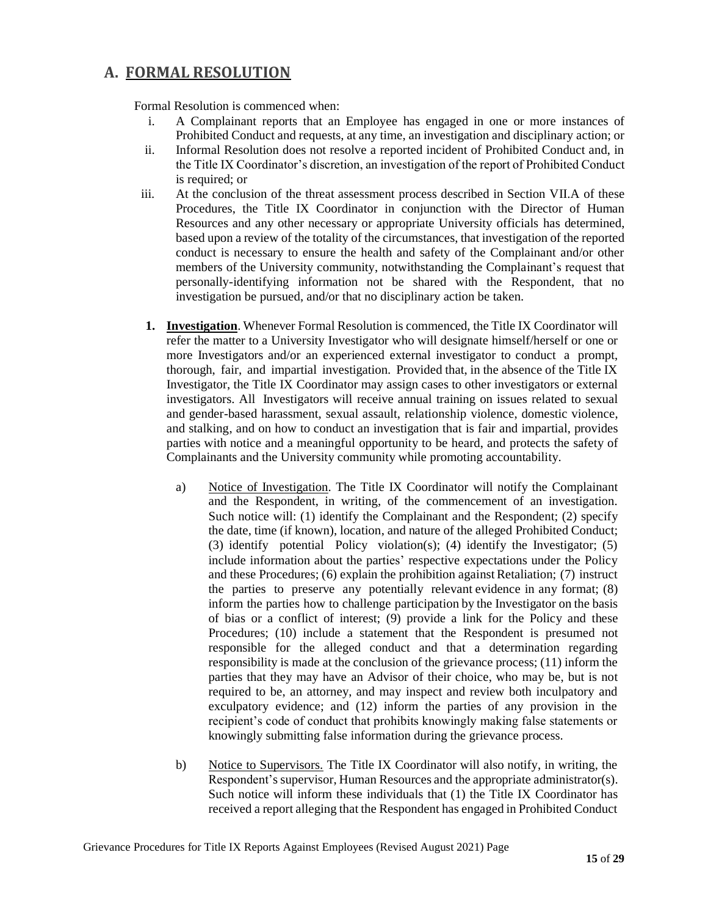### <span id="page-15-0"></span>**A. FORMAL RESOLUTION**

Formal Resolution is commenced when:

- i. A Complainant reports that an Employee has engaged in one or more instances of Prohibited Conduct and requests, at any time, an investigation and disciplinary action; or
- ii. Informal Resolution does not resolve a reported incident of Prohibited Conduct and, in the Title IX Coordinator's discretion, an investigation of the report of Prohibited Conduct is required; or
- iii. At the conclusion of the threat assessment process described in Section VII.A of these Procedures, the Title IX Coordinator in conjunction with the Director of Human Resources and any other necessary or appropriate University officials has determined, based upon a review of the totality of the circumstances, that investigation of the reported conduct is necessary to ensure the health and safety of the Complainant and/or other members of the University community, notwithstanding the Complainant's request that personally-identifying information not be shared with the Respondent, that no investigation be pursued, and/or that no disciplinary action be taken.
- **1. Investigation**. Whenever Formal Resolution is commenced, the Title IX Coordinator will refer the matter to a University Investigator who will designate himself/herself or one or more Investigators and/or an experienced external investigator to conduct a prompt, thorough, fair, and impartial investigation. Provided that, in the absence of the Title IX Investigator, the Title IX Coordinator may assign cases to other investigators or external investigators. All Investigators will receive annual training on issues related to sexual and gender-based harassment, sexual assault, relationship violence, domestic violence, and stalking, and on how to conduct an investigation that is fair and impartial, provides parties with notice and a meaningful opportunity to be heard, and protects the safety of Complainants and the University community while promoting accountability.
	- a) Notice of Investigation. The Title IX Coordinator will notify the Complainant and the Respondent, in writing, of the commencement of an investigation. Such notice will: (1) identify the Complainant and the Respondent; (2) specify the date, time (if known), location, and nature of the alleged Prohibited Conduct; (3) identify potential Policy violation(s); (4) identify the Investigator; (5) include information about the parties' respective expectations under the Policy and these Procedures; (6) explain the prohibition against Retaliation; (7) instruct the parties to preserve any potentially relevant evidence in any format; (8) inform the parties how to challenge participation by the Investigator on the basis of bias or a conflict of interest; (9) provide a link for the Policy and these Procedures; (10) include a statement that the Respondent is presumed not responsible for the alleged conduct and that a determination regarding responsibility is made at the conclusion of the grievance process; (11) inform the parties that they may have an Advisor of their choice, who may be, but is not required to be, an attorney, and may inspect and review both inculpatory and exculpatory evidence; and (12) inform the parties of any provision in the recipient's code of conduct that prohibits knowingly making false statements or knowingly submitting false information during the grievance process.
	- b) Notice to Supervisors. The Title IX Coordinator will also notify, in writing, the Respondent's supervisor, Human Resources and the appropriate administrator(s). Such notice will inform these individuals that (1) the Title IX Coordinator has received a report alleging that the Respondent has engaged in Prohibited Conduct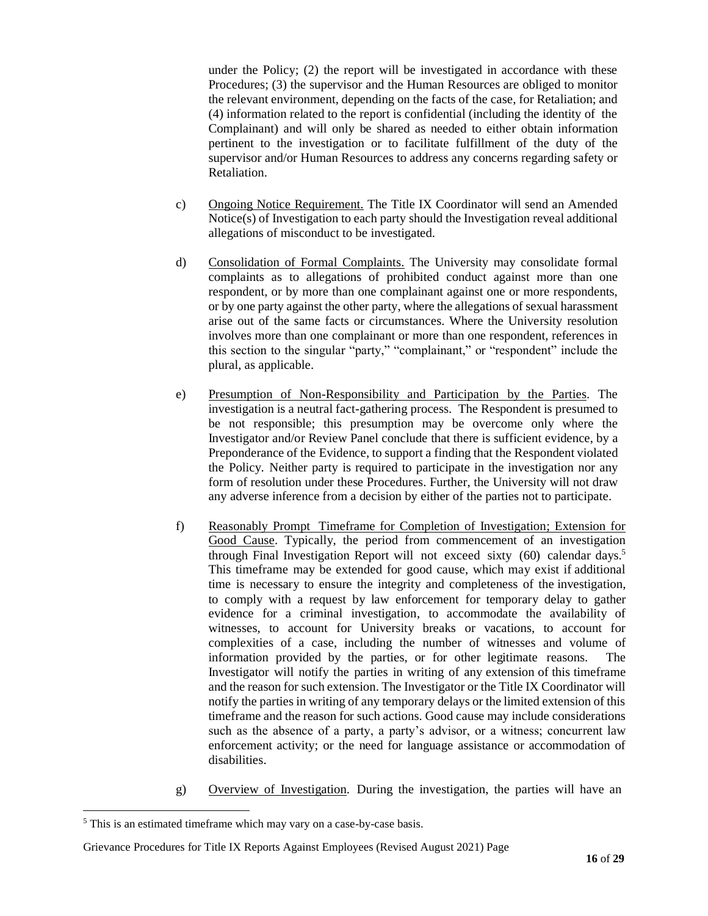under the Policy; (2) the report will be investigated in accordance with these Procedures; (3) the supervisor and the Human Resources are obliged to monitor the relevant environment, depending on the facts of the case, for Retaliation; and (4) information related to the report is confidential (including the identity of the Complainant) and will only be shared as needed to either obtain information pertinent to the investigation or to facilitate fulfillment of the duty of the supervisor and/or Human Resources to address any concerns regarding safety or Retaliation.

- c) Ongoing Notice Requirement. The Title IX Coordinator will send an Amended Notice(s) of Investigation to each party should the Investigation reveal additional allegations of misconduct to be investigated.
- d) Consolidation of Formal Complaints. The University may consolidate formal complaints as to allegations of prohibited conduct against more than one respondent, or by more than one complainant against one or more respondents, or by one party against the other party, where the allegations of sexual harassment arise out of the same facts or circumstances. Where the University resolution involves more than one complainant or more than one respondent, references in this section to the singular "party," "complainant," or "respondent" include the plural, as applicable.
- e) Presumption of Non-Responsibility and Participation by the Parties. The investigation is a neutral fact-gathering process. The Respondent is presumed to be not responsible; this presumption may be overcome only where the Investigator and/or Review Panel conclude that there is sufficient evidence, by a Preponderance of the Evidence, to support a finding that the Respondent violated the Policy. Neither party is required to participate in the investigation nor any form of resolution under these Procedures. Further, the University will not draw any adverse inference from a decision by either of the parties not to participate.
- f) Reasonably Prompt Timeframe for Completion of Investigation; Extension for Good Cause. Typically, the period from commencement of an investigation through Final Investigation Report will not exceed sixty (60) calendar days.<sup>5</sup> This timeframe may be extended for good cause, which may exist if additional time is necessary to ensure the integrity and completeness of the investigation, to comply with a request by law enforcement for temporary delay to gather evidence for a criminal investigation, to accommodate the availability of witnesses, to account for University breaks or vacations, to account for complexities of a case, including the number of witnesses and volume of information provided by the parties, or for other legitimate reasons. The Investigator will notify the parties in writing of any extension of this timeframe and the reason for such extension. The Investigator or the Title IX Coordinator will notify the parties in writing of any temporary delays or the limited extension of this timeframe and the reason for such actions. Good cause may include considerations such as the absence of a party, a party's advisor, or a witness; concurrent law enforcement activity; or the need for language assistance or accommodation of disabilities.
- g) Overview of Investigation. During the investigation, the parties will have an

<sup>5</sup> This is an estimated timeframe which may vary on a case-by-case basis.

Grievance Procedures for Title IX Reports Against Employees (Revised August 2021) Page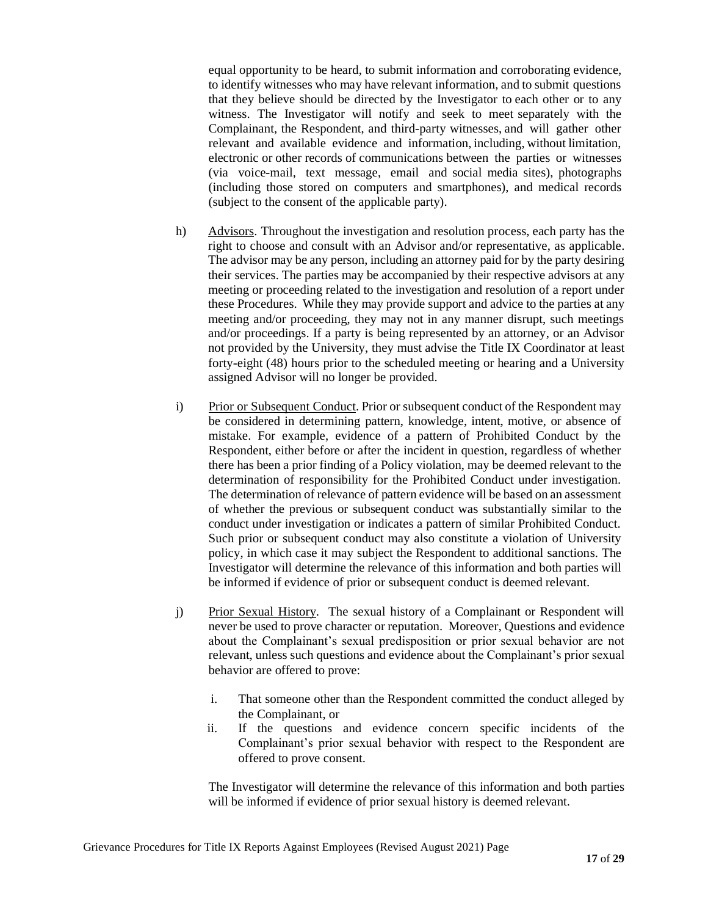equal opportunity to be heard, to submit information and corroborating evidence, to identify witnesses who may have relevant information, and to submit questions that they believe should be directed by the Investigator to each other or to any witness. The Investigator will notify and seek to meet separately with the Complainant, the Respondent, and third-party witnesses, and will gather other relevant and available evidence and information, including, without limitation, electronic or other records of communications between the parties or witnesses (via voice-mail, text message, email and social media sites), photographs (including those stored on computers and smartphones), and medical records (subject to the consent of the applicable party).

- h) Advisors. Throughout the investigation and resolution process, each party has the right to choose and consult with an Advisor and/or representative, as applicable. The advisor may be any person, including an attorney paid for by the party desiring their services. The parties may be accompanied by their respective advisors at any meeting or proceeding related to the investigation and resolution of a report under these Procedures. While they may provide support and advice to the parties at any meeting and/or proceeding, they may not in any manner disrupt, such meetings and/or proceedings. If a party is being represented by an attorney, or an Advisor not provided by the University, they must advise the Title IX Coordinator at least forty-eight (48) hours prior to the scheduled meeting or hearing and a University assigned Advisor will no longer be provided.
- i) Prior or Subsequent Conduct. Prior or subsequent conduct of the Respondent may be considered in determining pattern, knowledge, intent, motive, or absence of mistake. For example, evidence of a pattern of Prohibited Conduct by the Respondent, either before or after the incident in question, regardless of whether there has been a prior finding of a Policy violation, may be deemed relevant to the determination of responsibility for the Prohibited Conduct under investigation. The determination of relevance of pattern evidence will be based on an assessment of whether the previous or subsequent conduct was substantially similar to the conduct under investigation or indicates a pattern of similar Prohibited Conduct. Such prior or subsequent conduct may also constitute a violation of University policy, in which case it may subject the Respondent to additional sanctions. The Investigator will determine the relevance of this information and both parties will be informed if evidence of prior or subsequent conduct is deemed relevant.
- j) Prior Sexual History. The sexual history of a Complainant or Respondent will never be used to prove character or reputation. Moreover, Questions and evidence about the Complainant's sexual predisposition or prior sexual behavior are not relevant, unless such questions and evidence about the Complainant's prior sexual behavior are offered to prove:
	- i. That someone other than the Respondent committed the conduct alleged by the Complainant, or
	- ii. If the questions and evidence concern specific incidents of the Complainant's prior sexual behavior with respect to the Respondent are offered to prove consent.

The Investigator will determine the relevance of this information and both parties will be informed if evidence of prior sexual history is deemed relevant.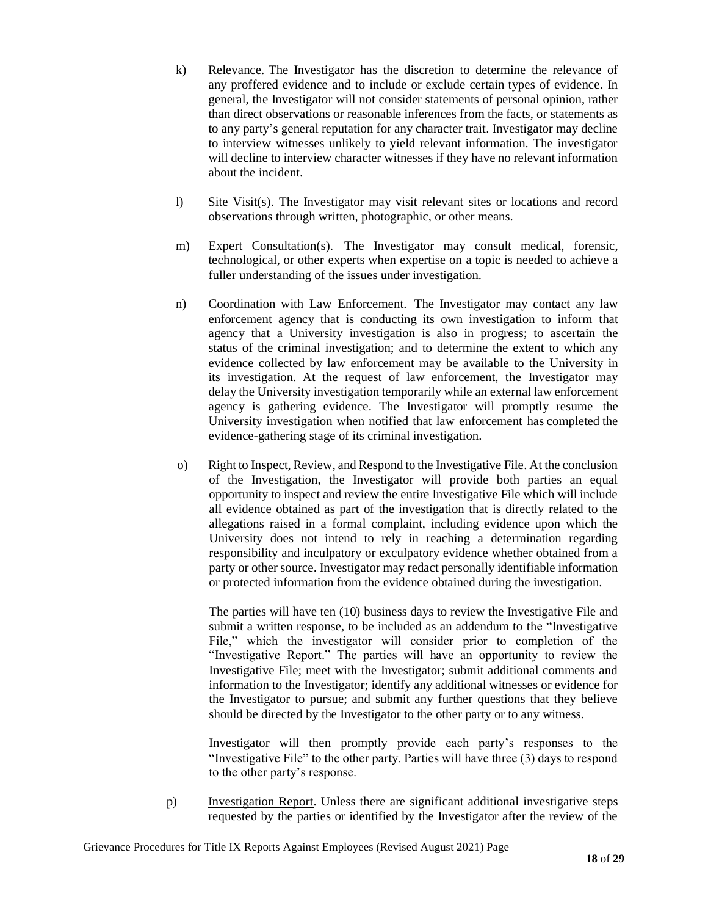- k) Relevance. The Investigator has the discretion to determine the relevance of any proffered evidence and to include or exclude certain types of evidence. In general, the Investigator will not consider statements of personal opinion, rather than direct observations or reasonable inferences from the facts, or statements as to any party's general reputation for any character trait. Investigator may decline to interview witnesses unlikely to yield relevant information. The investigator will decline to interview character witnesses if they have no relevant information about the incident.
- l) Site Visit(s). The Investigator may visit relevant sites or locations and record observations through written, photographic, or other means.
- m) Expert Consultation(s). The Investigator may consult medical, forensic, technological, or other experts when expertise on a topic is needed to achieve a fuller understanding of the issues under investigation.
- n) Coordination with Law Enforcement. The Investigator may contact any law enforcement agency that is conducting its own investigation to inform that agency that a University investigation is also in progress; to ascertain the status of the criminal investigation; and to determine the extent to which any evidence collected by law enforcement may be available to the University in its investigation. At the request of law enforcement, the Investigator may delay the University investigation temporarily while an external law enforcement agency is gathering evidence. The Investigator will promptly resume the University investigation when notified that law enforcement has completed the evidence-gathering stage of its criminal investigation.
- o) Right to Inspect, Review, and Respond to the Investigative File. At the conclusion of the Investigation, the Investigator will provide both parties an equal opportunity to inspect and review the entire Investigative File which will include all evidence obtained as part of the investigation that is directly related to the allegations raised in a formal complaint, including evidence upon which the University does not intend to rely in reaching a determination regarding responsibility and inculpatory or exculpatory evidence whether obtained from a party or other source. Investigator may redact personally identifiable information or protected information from the evidence obtained during the investigation.

The parties will have ten (10) business days to review the Investigative File and submit a written response, to be included as an addendum to the "Investigative File," which the investigator will consider prior to completion of the "Investigative Report." The parties will have an opportunity to review the Investigative File; meet with the Investigator; submit additional comments and information to the Investigator; identify any additional witnesses or evidence for the Investigator to pursue; and submit any further questions that they believe should be directed by the Investigator to the other party or to any witness.

Investigator will then promptly provide each party's responses to the "Investigative File" to the other party. Parties will have three (3) days to respond to the other party's response.

p) Investigation Report. Unless there are significant additional investigative steps requested by the parties or identified by the Investigator after the review of the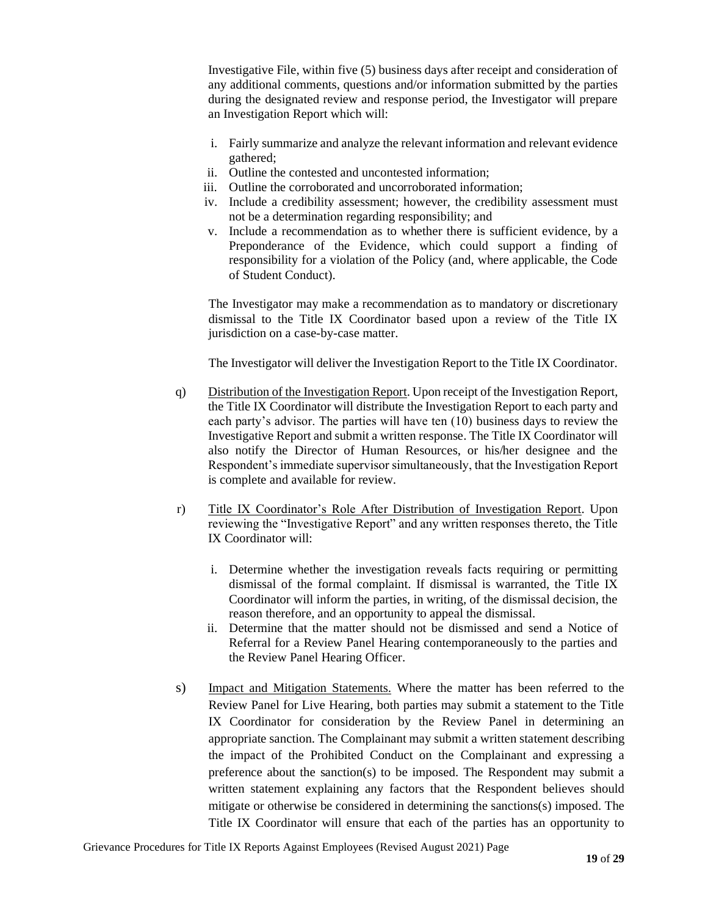Investigative File, within five (5) business days after receipt and consideration of any additional comments, questions and/or information submitted by the parties during the designated review and response period, the Investigator will prepare an Investigation Report which will:

- i. Fairly summarize and analyze the relevant information and relevant evidence gathered;
- ii. Outline the contested and uncontested information;
- iii. Outline the corroborated and uncorroborated information;
- iv. Include a credibility assessment; however, the credibility assessment must not be a determination regarding responsibility; and
- v. Include a recommendation as to whether there is sufficient evidence, by a Preponderance of the Evidence, which could support a finding of responsibility for a violation of the Policy (and, where applicable, the Code of Student Conduct).

The Investigator may make a recommendation as to mandatory or discretionary dismissal to the Title IX Coordinator based upon a review of the Title IX jurisdiction on a case-by-case matter.

The Investigator will deliver the Investigation Report to the Title IX Coordinator.

- q) Distribution of the Investigation Report. Upon receipt of the Investigation Report, the Title IX Coordinator will distribute the Investigation Report to each party and each party's advisor. The parties will have ten (10) business days to review the Investigative Report and submit a written response. The Title IX Coordinator will also notify the Director of Human Resources, or his/her designee and the Respondent's immediate supervisor simultaneously, that the Investigation Report is complete and available for review.
- r) Title IX Coordinator's Role After Distribution of Investigation Report. Upon reviewing the "Investigative Report" and any written responses thereto, the Title IX Coordinator will:
	- i. Determine whether the investigation reveals facts requiring or permitting dismissal of the formal complaint. If dismissal is warranted, the Title IX Coordinator will inform the parties, in writing, of the dismissal decision, the reason therefore, and an opportunity to appeal the dismissal.
	- ii. Determine that the matter should not be dismissed and send a Notice of Referral for a Review Panel Hearing contemporaneously to the parties and the Review Panel Hearing Officer.
- s) Impact and Mitigation Statements. Where the matter has been referred to the Review Panel for Live Hearing, both parties may submit a statement to the Title IX Coordinator for consideration by the Review Panel in determining an appropriate sanction. The Complainant may submit a written statement describing the impact of the Prohibited Conduct on the Complainant and expressing a preference about the sanction(s) to be imposed. The Respondent may submit a written statement explaining any factors that the Respondent believes should mitigate or otherwise be considered in determining the sanctions(s) imposed. The Title IX Coordinator will ensure that each of the parties has an opportunity to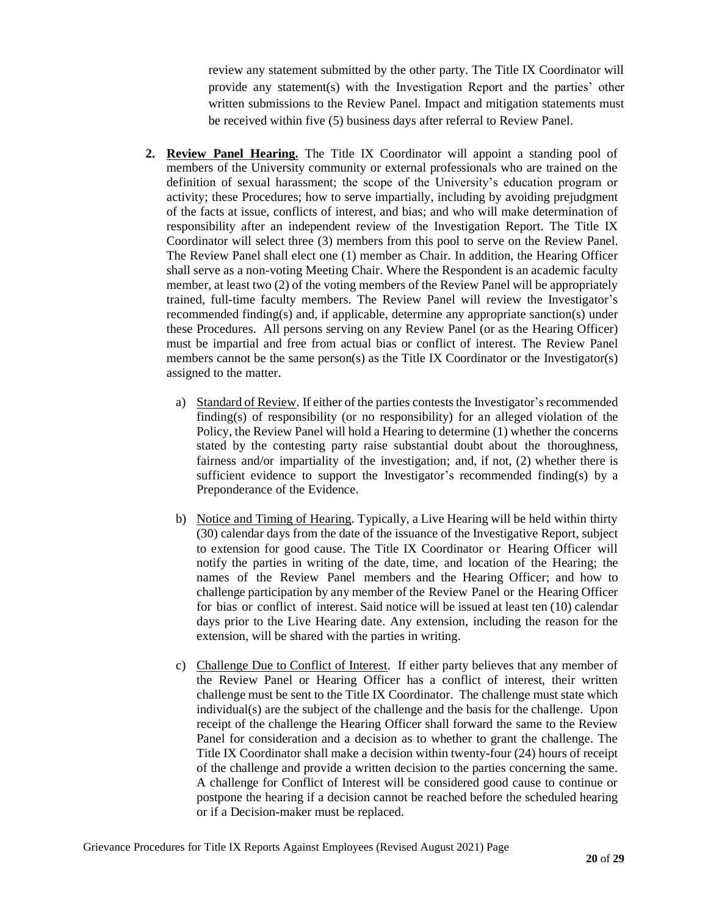review any statement submitted by the other party. The Title IX Coordinator will provide any statement(s) with the Investigation Report and the parties' other written submissions to the Review Panel. Impact and mitigation statements must be received within five (5) business days after referral to Review Panel.

- **2. Review Panel Hearing.** The Title IX Coordinator will appoint a standing pool of members of the University community or external professionals who are trained on the definition of sexual harassment; the scope of the University's education program or activity; these Procedures; how to serve impartially, including by avoiding prejudgment of the facts at issue, conflicts of interest, and bias; and who will make determination of responsibility after an independent review of the Investigation Report. The Title IX Coordinator will select three (3) members from this pool to serve on the Review Panel. The Review Panel shall elect one (1) member as Chair. In addition, the Hearing Officer shall serve as a non-voting Meeting Chair. Where the Respondent is an academic faculty member, at least two (2) of the voting members of the Review Panel will be appropriately trained, full-time faculty members. The Review Panel will review the Investigator's recommended finding(s) and, if applicable, determine any appropriate sanction(s) under these Procedures. All persons serving on any Review Panel (or as the Hearing Officer) must be impartial and free from actual bias or conflict of interest. The Review Panel members cannot be the same person(s) as the Title IX Coordinator or the Investigator(s) assigned to the matter.
	- a) Standard of Review. If either of the parties conteststhe Investigator's recommended finding(s) of responsibility (or no responsibility) for an alleged violation of the Policy, the Review Panel will hold a Hearing to determine (1) whether the concerns stated by the contesting party raise substantial doubt about the thoroughness, fairness and/or impartiality of the investigation; and, if not, (2) whether there is sufficient evidence to support the Investigator's recommended finding(s) by a Preponderance of the Evidence.
	- b) Notice and Timing of Hearing. Typically, a Live Hearing will be held within thirty (30) calendar days from the date of the issuance of the Investigative Report, subject to extension for good cause. The Title IX Coordinator or Hearing Officer will notify the parties in writing of the date, time, and location of the Hearing; the names of the Review Panel members and the Hearing Officer; and how to challenge participation by any member of the Review Panel or the Hearing Officer for bias or conflict of interest. Said notice will be issued at least ten (10) calendar days prior to the Live Hearing date. Any extension, including the reason for the extension, will be shared with the parties in writing.
	- c) Challenge Due to Conflict of Interest. If either party believes that any member of the Review Panel or Hearing Officer has a conflict of interest, their written challenge must be sent to the Title IX Coordinator. The challenge must state which individual(s) are the subject of the challenge and the basis for the challenge. Upon receipt of the challenge the Hearing Officer shall forward the same to the Review Panel for consideration and a decision as to whether to grant the challenge. The Title IX Coordinator shall make a decision within twenty-four (24) hours of receipt of the challenge and provide a written decision to the parties concerning the same. A challenge for Conflict of Interest will be considered good cause to continue or postpone the hearing if a decision cannot be reached before the scheduled hearing or if a Decision-maker must be replaced.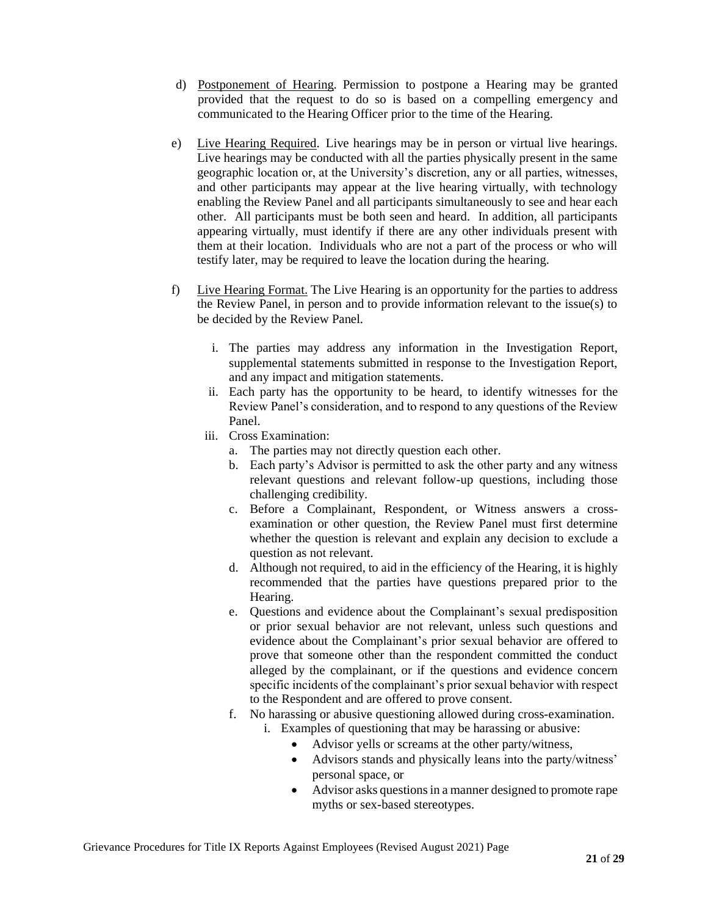- d) Postponement of Hearing. Permission to postpone a Hearing may be granted provided that the request to do so is based on a compelling emergency and communicated to the Hearing Officer prior to the time of the Hearing.
- e) Live Hearing Required. Live hearings may be in person or virtual live hearings. Live hearings may be conducted with all the parties physically present in the same geographic location or, at the University's discretion, any or all parties, witnesses, and other participants may appear at the live hearing virtually, with technology enabling the Review Panel and all participants simultaneously to see and hear each other. All participants must be both seen and heard. In addition, all participants appearing virtually, must identify if there are any other individuals present with them at their location. Individuals who are not a part of the process or who will testify later, may be required to leave the location during the hearing.
- f) Live Hearing Format. The Live Hearing is an opportunity for the parties to address the Review Panel, in person and to provide information relevant to the issue(s) to be decided by the Review Panel.
	- i. The parties may address any information in the Investigation Report, supplemental statements submitted in response to the Investigation Report, and any impact and mitigation statements.
	- ii. Each party has the opportunity to be heard, to identify witnesses for the Review Panel's consideration, and to respond to any questions of the Review Panel.
	- iii. Cross Examination:
		- a. The parties may not directly question each other.
		- b. Each party's Advisor is permitted to ask the other party and any witness relevant questions and relevant follow-up questions, including those challenging credibility.
		- c. Before a Complainant, Respondent, or Witness answers a crossexamination or other question, the Review Panel must first determine whether the question is relevant and explain any decision to exclude a question as not relevant.
		- d. Although not required, to aid in the efficiency of the Hearing, it is highly recommended that the parties have questions prepared prior to the Hearing.
		- e. Questions and evidence about the Complainant's sexual predisposition or prior sexual behavior are not relevant, unless such questions and evidence about the Complainant's prior sexual behavior are offered to prove that someone other than the respondent committed the conduct alleged by the complainant, or if the questions and evidence concern specific incidents of the complainant's prior sexual behavior with respect to the Respondent and are offered to prove consent.
		- f. No harassing or abusive questioning allowed during cross-examination.
			- i. Examples of questioning that may be harassing or abusive:
				- Advisor yells or screams at the other party/witness,
				- Advisors stands and physically leans into the party/witness' personal space, or
				- Advisor asks questions in a manner designed to promote rape myths or sex-based stereotypes.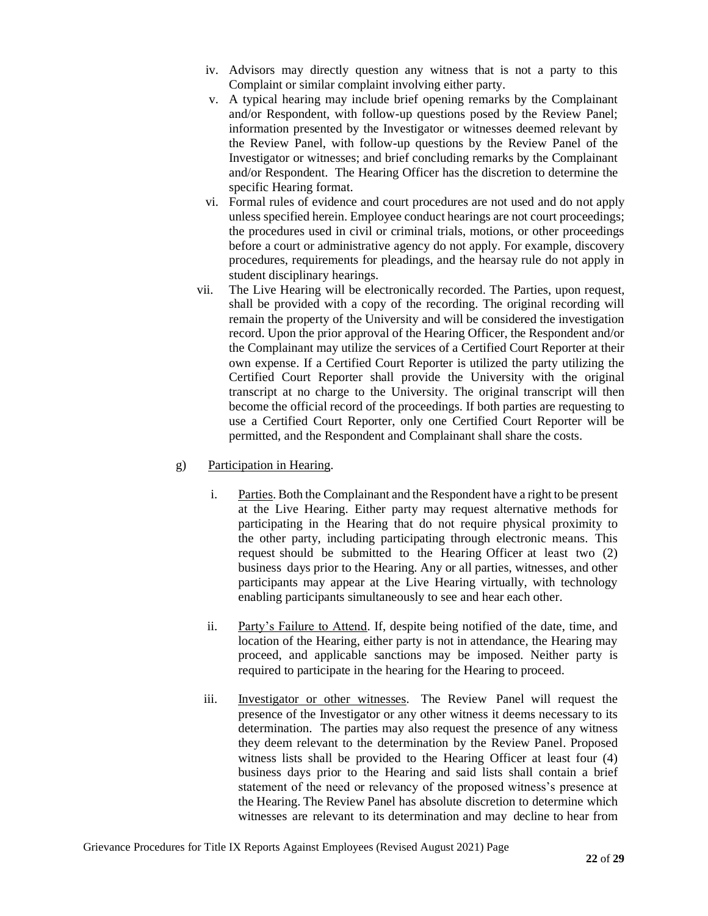- iv. Advisors may directly question any witness that is not a party to this Complaint or similar complaint involving either party.
- v. A typical hearing may include brief opening remarks by the Complainant and/or Respondent, with follow-up questions posed by the Review Panel; information presented by the Investigator or witnesses deemed relevant by the Review Panel, with follow-up questions by the Review Panel of the Investigator or witnesses; and brief concluding remarks by the Complainant and/or Respondent. The Hearing Officer has the discretion to determine the specific Hearing format.
- vi. Formal rules of evidence and court procedures are not used and do not apply unless specified herein. Employee conduct hearings are not court proceedings; the procedures used in civil or criminal trials, motions, or other proceedings before a court or administrative agency do not apply. For example, discovery procedures, requirements for pleadings, and the hearsay rule do not apply in student disciplinary hearings.
- vii. The Live Hearing will be electronically recorded. The Parties, upon request, shall be provided with a copy of the recording. The original recording will remain the property of the University and will be considered the investigation record. Upon the prior approval of the Hearing Officer, the Respondent and/or the Complainant may utilize the services of a Certified Court Reporter at their own expense. If a Certified Court Reporter is utilized the party utilizing the Certified Court Reporter shall provide the University with the original transcript at no charge to the University. The original transcript will then become the official record of the proceedings. If both parties are requesting to use a Certified Court Reporter, only one Certified Court Reporter will be permitted, and the Respondent and Complainant shall share the costs.
- g) Participation in Hearing.
	- i. Parties. Both the Complainant and the Respondent have a right to be present at the Live Hearing. Either party may request alternative methods for participating in the Hearing that do not require physical proximity to the other party, including participating through electronic means. This request should be submitted to the Hearing Officer at least two (2) business days prior to the Hearing. Any or all parties, witnesses, and other participants may appear at the Live Hearing virtually, with technology enabling participants simultaneously to see and hear each other.
	- ii. Party's Failure to Attend. If, despite being notified of the date, time, and location of the Hearing, either party is not in attendance, the Hearing may proceed, and applicable sanctions may be imposed. Neither party is required to participate in the hearing for the Hearing to proceed.
	- iii. Investigator or other witnesses. The Review Panel will request the presence of the Investigator or any other witness it deems necessary to its determination. The parties may also request the presence of any witness they deem relevant to the determination by the Review Panel. Proposed witness lists shall be provided to the Hearing Officer at least four (4) business days prior to the Hearing and said lists shall contain a brief statement of the need or relevancy of the proposed witness's presence at the Hearing. The Review Panel has absolute discretion to determine which witnesses are relevant to its determination and may decline to hear from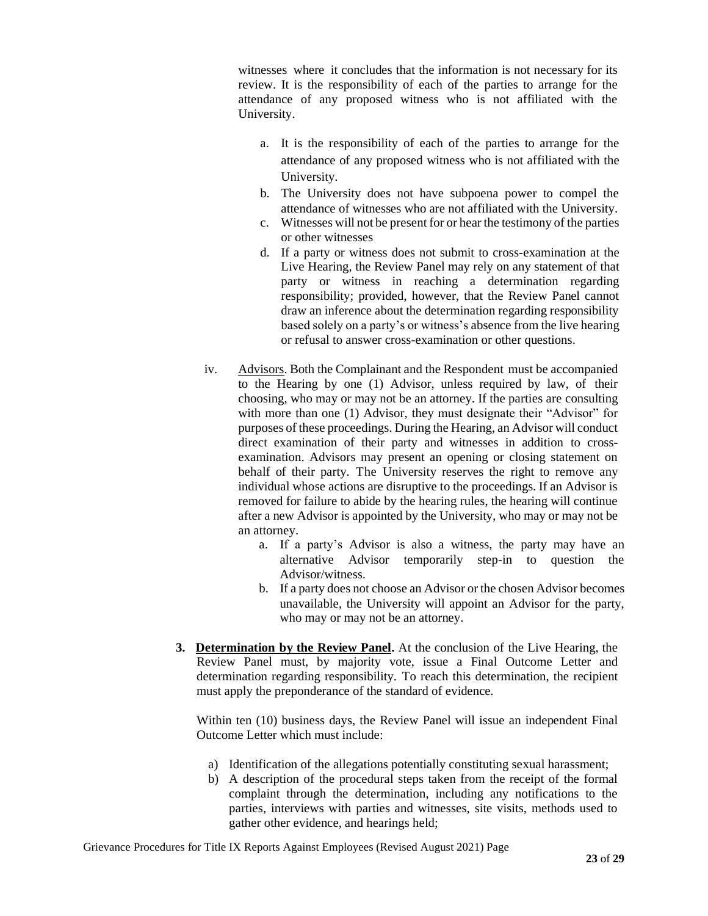witnesses where it concludes that the information is not necessary for its review. It is the responsibility of each of the parties to arrange for the attendance of any proposed witness who is not affiliated with the University.

- a. It is the responsibility of each of the parties to arrange for the attendance of any proposed witness who is not affiliated with the University.
- b. The University does not have subpoena power to compel the attendance of witnesses who are not affiliated with the University.
- c. Witnesses will not be present for or hear the testimony of the parties or other witnesses
- d. If a party or witness does not submit to cross-examination at the Live Hearing, the Review Panel may rely on any statement of that party or witness in reaching a determination regarding responsibility; provided, however, that the Review Panel cannot draw an inference about the determination regarding responsibility based solely on a party's or witness's absence from the live hearing or refusal to answer cross-examination or other questions.
- iv. Advisors. Both the Complainant and the Respondent must be accompanied to the Hearing by one (1) Advisor, unless required by law, of their choosing, who may or may not be an attorney. If the parties are consulting with more than one (1) Advisor, they must designate their "Advisor" for purposes of these proceedings. During the Hearing, an Advisor will conduct direct examination of their party and witnesses in addition to crossexamination. Advisors may present an opening or closing statement on behalf of their party. The University reserves the right to remove any individual whose actions are disruptive to the proceedings. If an Advisor is removed for failure to abide by the hearing rules, the hearing will continue after a new Advisor is appointed by the University, who may or may not be an attorney.
	- a. If a party's Advisor is also a witness, the party may have an alternative Advisor temporarily step-in to question the Advisor/witness.
	- b. If a party does not choose an Advisor or the chosen Advisor becomes unavailable, the University will appoint an Advisor for the party, who may or may not be an attorney.
- **3. Determination by the Review Panel.** At the conclusion of the Live Hearing, the Review Panel must, by majority vote, issue a Final Outcome Letter and determination regarding responsibility. To reach this determination, the recipient must apply the preponderance of the standard of evidence.

Within ten (10) business days, the Review Panel will issue an independent Final Outcome Letter which must include:

- a) Identification of the allegations potentially constituting sexual harassment;
- b) A description of the procedural steps taken from the receipt of the formal complaint through the determination, including any notifications to the parties, interviews with parties and witnesses, site visits, methods used to gather other evidence, and hearings held;

Grievance Procedures for Title IX Reports Against Employees (Revised August 2021) Page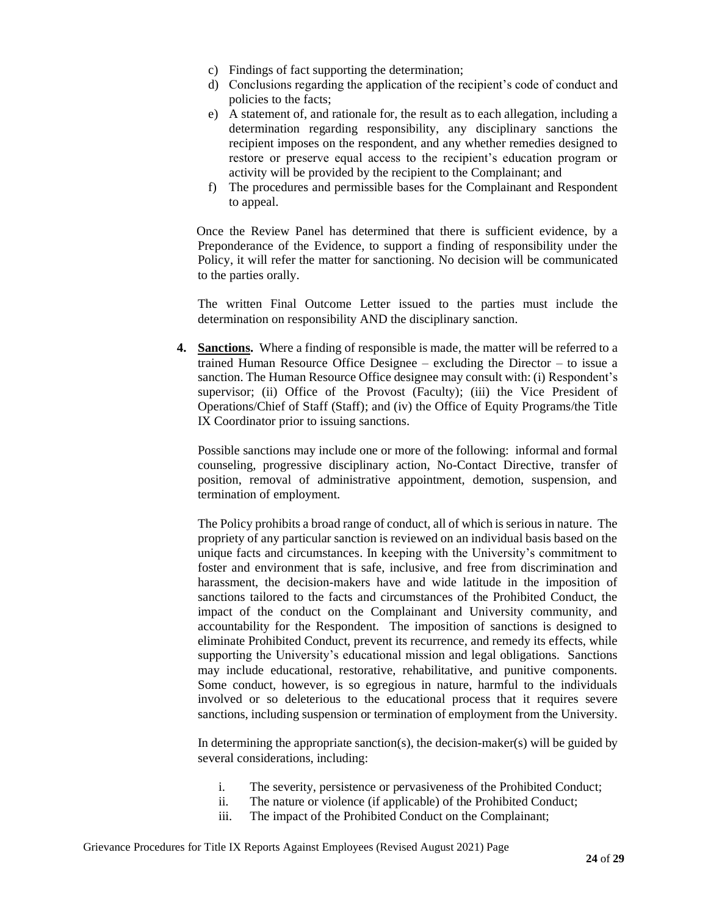- c) Findings of fact supporting the determination;
- d) Conclusions regarding the application of the recipient's code of conduct and policies to the facts;
- e) A statement of, and rationale for, the result as to each allegation, including a determination regarding responsibility, any disciplinary sanctions the recipient imposes on the respondent, and any whether remedies designed to restore or preserve equal access to the recipient's education program or activity will be provided by the recipient to the Complainant; and
- f) The procedures and permissible bases for the Complainant and Respondent to appeal.

Once the Review Panel has determined that there is sufficient evidence, by a Preponderance of the Evidence, to support a finding of responsibility under the Policy, it will refer the matter for sanctioning. No decision will be communicated to the parties orally.

The written Final Outcome Letter issued to the parties must include the determination on responsibility AND the disciplinary sanction.

**4. Sanctions.** Where a finding of responsible is made, the matter will be referred to a trained Human Resource Office Designee – excluding the Director – to issue a sanction. The Human Resource Office designee may consult with: (i) Respondent's supervisor; (ii) Office of the Provost (Faculty); (iii) the Vice President of Operations/Chief of Staff (Staff); and (iv) the Office of Equity Programs/the Title IX Coordinator prior to issuing sanctions.

Possible sanctions may include one or more of the following: informal and formal counseling, progressive disciplinary action, No-Contact Directive, transfer of position, removal of administrative appointment, demotion, suspension, and termination of employment.

The Policy prohibits a broad range of conduct, all of which is serious in nature. The propriety of any particular sanction is reviewed on an individual basis based on the unique facts and circumstances. In keeping with the University's commitment to foster and environment that is safe, inclusive, and free from discrimination and harassment, the decision-makers have and wide latitude in the imposition of sanctions tailored to the facts and circumstances of the Prohibited Conduct, the impact of the conduct on the Complainant and University community, and accountability for the Respondent. The imposition of sanctions is designed to eliminate Prohibited Conduct, prevent its recurrence, and remedy its effects, while supporting the University's educational mission and legal obligations. Sanctions may include educational, restorative, rehabilitative, and punitive components. Some conduct, however, is so egregious in nature, harmful to the individuals involved or so deleterious to the educational process that it requires severe sanctions, including suspension or termination of employment from the University.

In determining the appropriate sanction(s), the decision-maker(s) will be guided by several considerations, including:

- i. The severity, persistence or pervasiveness of the Prohibited Conduct;
- ii. The nature or violence (if applicable) of the Prohibited Conduct;
	- iii. The impact of the Prohibited Conduct on the Complainant;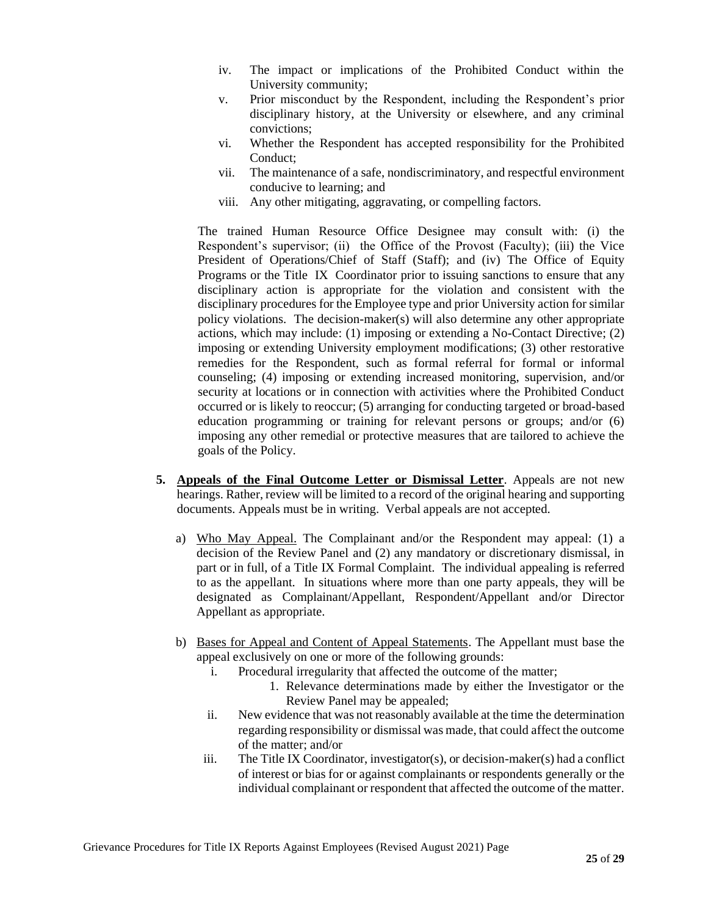- iv. The impact or implications of the Prohibited Conduct within the University community;
- v. Prior misconduct by the Respondent, including the Respondent's prior disciplinary history, at the University or elsewhere, and any criminal convictions;
- vi. Whether the Respondent has accepted responsibility for the Prohibited Conduct;
- vii. The maintenance of a safe, nondiscriminatory, and respectful environment conducive to learning; and
- viii. Any other mitigating, aggravating, or compelling factors.

The trained Human Resource Office Designee may consult with: (i) the Respondent's supervisor; (ii) the Office of the Provost (Faculty); (iii) the Vice President of Operations/Chief of Staff (Staff); and (iv) The Office of Equity Programs or the Title IX Coordinator prior to issuing sanctions to ensure that any disciplinary action is appropriate for the violation and consistent with the disciplinary procedures for the Employee type and prior University action for similar policy violations. The decision-maker(s) will also determine any other appropriate actions, which may include: (1) imposing or extending a No-Contact Directive; (2) imposing or extending University employment modifications; (3) other restorative remedies for the Respondent, such as formal referral for formal or informal counseling; (4) imposing or extending increased monitoring, supervision, and/or security at locations or in connection with activities where the Prohibited Conduct occurred or is likely to reoccur; (5) arranging for conducting targeted or broad-based education programming or training for relevant persons or groups; and/or (6) imposing any other remedial or protective measures that are tailored to achieve the goals of the Policy.

- **5. Appeals of the Final Outcome Letter or Dismissal Letter**. Appeals are not new hearings. Rather, review will be limited to a record of the original hearing and supporting documents. Appeals must be in writing. Verbal appeals are not accepted.
	- a) Who May Appeal. The Complainant and/or the Respondent may appeal: (1) a decision of the Review Panel and (2) any mandatory or discretionary dismissal, in part or in full, of a Title IX Formal Complaint. The individual appealing is referred to as the appellant. In situations where more than one party appeals, they will be designated as Complainant/Appellant, Respondent/Appellant and/or Director Appellant as appropriate.
	- b) Bases for Appeal and Content of Appeal Statements. The Appellant must base the appeal exclusively on one or more of the following grounds:
		- i. Procedural irregularity that affected the outcome of the matter;
			- 1. Relevance determinations made by either the Investigator or the Review Panel may be appealed;
		- ii. New evidence that was not reasonably available at the time the determination regarding responsibility or dismissal was made, that could affect the outcome of the matter; and/or
		- iii. The Title IX Coordinator, investigator(s), or decision-maker(s) had a conflict of interest or bias for or against complainants or respondents generally or the individual complainant or respondent that affected the outcome of the matter.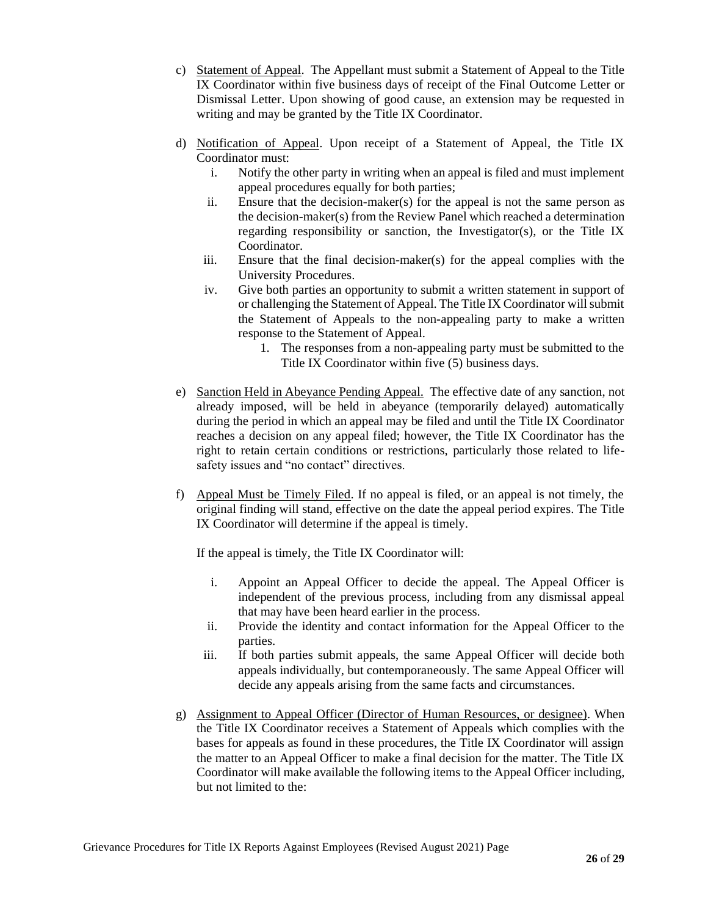- c) Statement of Appeal. The Appellant must submit a Statement of Appeal to the Title IX Coordinator within five business days of receipt of the Final Outcome Letter or Dismissal Letter. Upon showing of good cause, an extension may be requested in writing and may be granted by the Title IX Coordinator.
- d) Notification of Appeal. Upon receipt of a Statement of Appeal, the Title IX Coordinator must:
	- i. Notify the other party in writing when an appeal is filed and must implement appeal procedures equally for both parties;
	- ii. Ensure that the decision-maker(s) for the appeal is not the same person as the decision-maker(s) from the Review Panel which reached a determination regarding responsibility or sanction, the Investigator(s), or the Title IX Coordinator.
	- iii. Ensure that the final decision-maker(s) for the appeal complies with the University Procedures.
	- iv. Give both parties an opportunity to submit a written statement in support of or challenging the Statement of Appeal. The Title IX Coordinator will submit the Statement of Appeals to the non-appealing party to make a written response to the Statement of Appeal.
		- 1. The responses from a non-appealing party must be submitted to the Title IX Coordinator within five (5) business days.
- e) Sanction Held in Abeyance Pending Appeal. The effective date of any sanction, not already imposed, will be held in abeyance (temporarily delayed) automatically during the period in which an appeal may be filed and until the Title IX Coordinator reaches a decision on any appeal filed; however, the Title IX Coordinator has the right to retain certain conditions or restrictions, particularly those related to lifesafety issues and "no contact" directives.
- f) Appeal Must be Timely Filed. If no appeal is filed, or an appeal is not timely, the original finding will stand, effective on the date the appeal period expires. The Title IX Coordinator will determine if the appeal is timely.

If the appeal is timely, the Title IX Coordinator will:

- i. Appoint an Appeal Officer to decide the appeal. The Appeal Officer is independent of the previous process, including from any dismissal appeal that may have been heard earlier in the process.
- ii. Provide the identity and contact information for the Appeal Officer to the parties.
- iii. If both parties submit appeals, the same Appeal Officer will decide both appeals individually, but contemporaneously. The same Appeal Officer will decide any appeals arising from the same facts and circumstances.
- g) Assignment to Appeal Officer (Director of Human Resources, or designee). When the Title IX Coordinator receives a Statement of Appeals which complies with the bases for appeals as found in these procedures, the Title IX Coordinator will assign the matter to an Appeal Officer to make a final decision for the matter. The Title IX Coordinator will make available the following items to the Appeal Officer including, but not limited to the: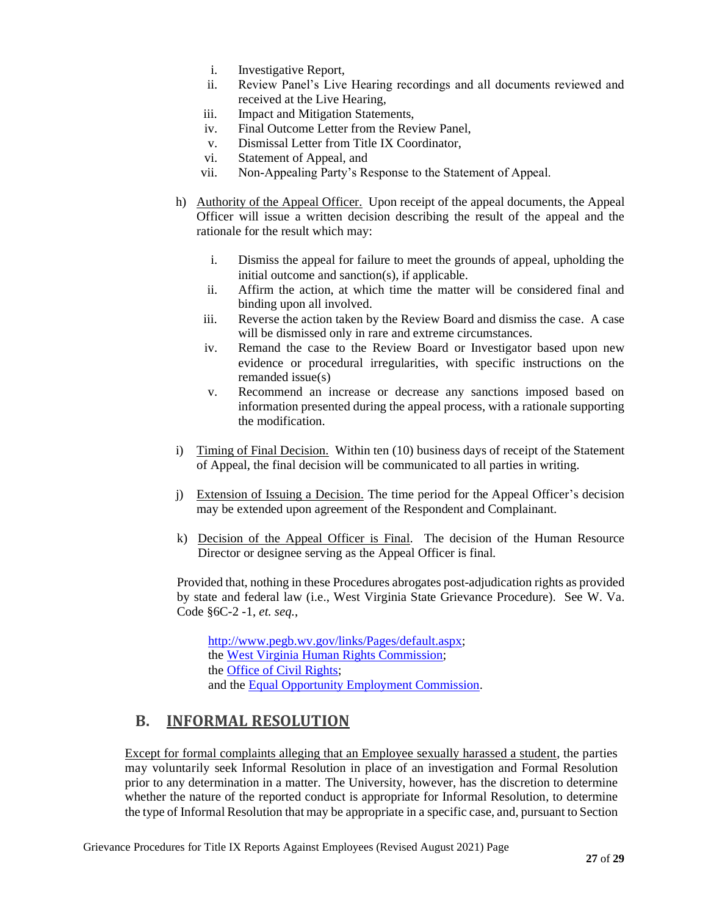- i. Investigative Report,
- ii. Review Panel's Live Hearing recordings and all documents reviewed and received at the Live Hearing,
- iii. Impact and Mitigation Statements,
- iv. Final Outcome Letter from the Review Panel,
- v. Dismissal Letter from Title IX Coordinator,
- vi. Statement of Appeal, and
- vii. Non-Appealing Party's Response to the Statement of Appeal.
- h) Authority of the Appeal Officer. Upon receipt of the appeal documents, the Appeal Officer will issue a written decision describing the result of the appeal and the rationale for the result which may:
	- i. Dismiss the appeal for failure to meet the grounds of appeal, upholding the initial outcome and sanction(s), if applicable.
	- ii. Affirm the action, at which time the matter will be considered final and binding upon all involved.
	- iii. Reverse the action taken by the Review Board and dismiss the case. A case will be dismissed only in rare and extreme circumstances.
	- iv. Remand the case to the Review Board or Investigator based upon new evidence or procedural irregularities, with specific instructions on the remanded issue(s)
	- v. Recommend an increase or decrease any sanctions imposed based on information presented during the appeal process, with a rationale supporting the modification.
- i) Timing of Final Decision. Within ten (10) business days of receipt of the Statement of Appeal, the final decision will be communicated to all parties in writing.
- j) Extension of Issuing a Decision. The time period for the Appeal Officer's decision may be extended upon agreement of the Respondent and Complainant.
- k) Decision of the Appeal Officer is Final. The decision of the Human Resource Director or designee serving as the Appeal Officer is final.

Provided that, nothing in these Procedures abrogates post-adjudication rights as provided by state and federal law (i.e., West Virginia State Grievance Procedure). See W. Va. Code §6C-2 -1, *et. seq.*,

[http://www.pegb.wv.gov/links/Pages/default.aspx;](http://www.pegb.wv.gov/links/Pages/default.aspx) the [West Virginia Human Rights Commission;](http://www.hrc.wv.gov/Pages/default.aspx) the [Office of Civil Rights;](http://www2.ed.gov/about/offices/list/ocr/index.html) and the [Equal Opportunity Employment Commission.](https://www.eeoc.gov/)

## <span id="page-27-0"></span>**B. INFORMAL RESOLUTION**

Except for formal complaints alleging that an Employee sexually harassed a student, the parties may voluntarily seek Informal Resolution in place of an investigation and Formal Resolution prior to any determination in a matter. The University, however, has the discretion to determine whether the nature of the reported conduct is appropriate for Informal Resolution, to determine the type of Informal Resolution that may be appropriate in a specific case, and, pursuant to Section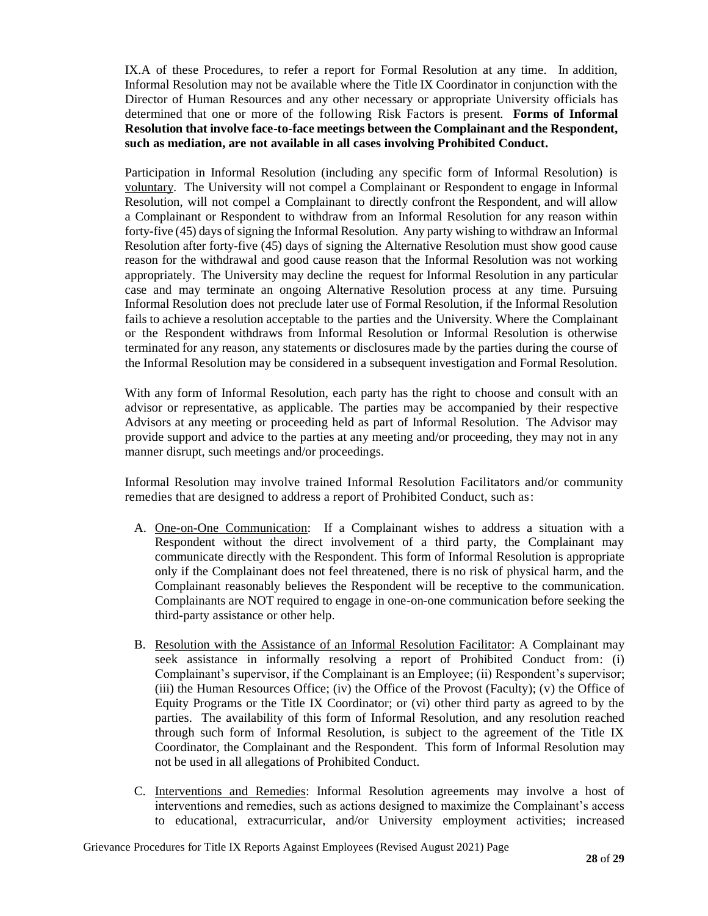IX.A of these Procedures, to refer a report for Formal Resolution at any time. In addition, Informal Resolution may not be available where the Title IX Coordinator in conjunction with the Director of Human Resources and any other necessary or appropriate University officials has determined that one or more of the following Risk Factors is present. **Forms of Informal Resolution that involve face-to-face meetings between the Complainant and the Respondent, such as mediation, are not available in all cases involving Prohibited Conduct.**

Participation in Informal Resolution (including any specific form of Informal Resolution) is voluntary. The University will not compel a Complainant or Respondent to engage in Informal Resolution, will not compel a Complainant to directly confront the Respondent, and will allow a Complainant or Respondent to withdraw from an Informal Resolution for any reason within forty-five (45) days of signing the Informal Resolution. Any party wishing to withdraw an Informal Resolution after forty-five (45) days of signing the Alternative Resolution must show good cause reason for the withdrawal and good cause reason that the Informal Resolution was not working appropriately. The University may decline the request for Informal Resolution in any particular case and may terminate an ongoing Alternative Resolution process at any time. Pursuing Informal Resolution does not preclude later use of Formal Resolution, if the Informal Resolution fails to achieve a resolution acceptable to the parties and the University. Where the Complainant or the Respondent withdraws from Informal Resolution or Informal Resolution is otherwise terminated for any reason, any statements or disclosures made by the parties during the course of the Informal Resolution may be considered in a subsequent investigation and Formal Resolution.

With any form of Informal Resolution, each party has the right to choose and consult with an advisor or representative, as applicable. The parties may be accompanied by their respective Advisors at any meeting or proceeding held as part of Informal Resolution. The Advisor may provide support and advice to the parties at any meeting and/or proceeding, they may not in any manner disrupt, such meetings and/or proceedings.

Informal Resolution may involve trained Informal Resolution Facilitators and/or community remedies that are designed to address a report of Prohibited Conduct, such as:

- A. One-on-One Communication: If a Complainant wishes to address a situation with a Respondent without the direct involvement of a third party, the Complainant may communicate directly with the Respondent. This form of Informal Resolution is appropriate only if the Complainant does not feel threatened, there is no risk of physical harm, and the Complainant reasonably believes the Respondent will be receptive to the communication. Complainants are NOT required to engage in one-on-one communication before seeking the third-party assistance or other help.
- B. Resolution with the Assistance of an Informal Resolution Facilitator: A Complainant may seek assistance in informally resolving a report of Prohibited Conduct from: (i) Complainant's supervisor, if the Complainant is an Employee; (ii) Respondent's supervisor; (iii) the Human Resources Office; (iv) the Office of the Provost (Faculty); (v) the Office of Equity Programs or the Title IX Coordinator; or (vi) other third party as agreed to by the parties. The availability of this form of Informal Resolution, and any resolution reached through such form of Informal Resolution, is subject to the agreement of the Title IX Coordinator, the Complainant and the Respondent. This form of Informal Resolution may not be used in all allegations of Prohibited Conduct.
- C. Interventions and Remedies: Informal Resolution agreements may involve a host of interventions and remedies, such as actions designed to maximize the Complainant's access to educational, extracurricular, and/or University employment activities; increased